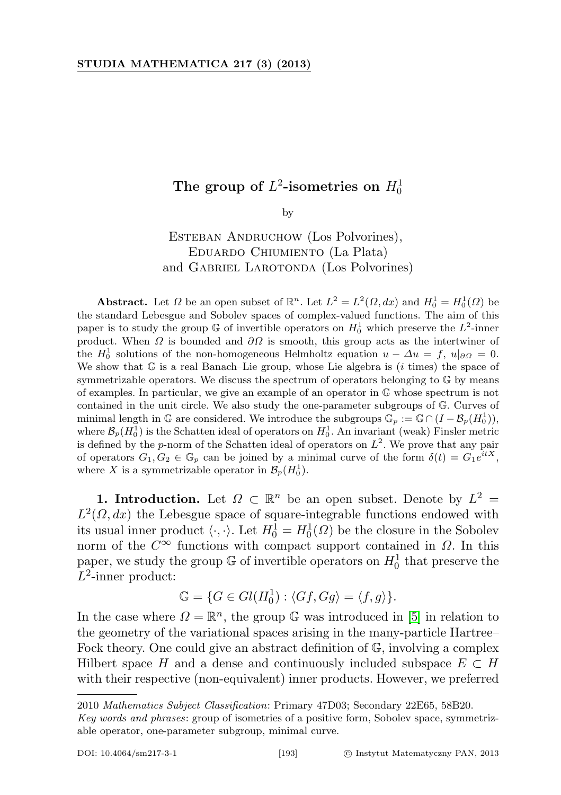## The group of  $L^2$ -isometries on  $H_0^1$

by

ESTEBAN ANDRUCHOW (Los Polvorines), Eduardo Chiumiento (La Plata) and GABRIEL LAROTONDA (Los Polvorines)

Abstract. Let  $\Omega$  be an open subset of  $\mathbb{R}^n$ . Let  $L^2 = L^2(\Omega, dx)$  and  $H_0^1 = H_0^1(\Omega)$  be the standard Lebesgue and Sobolev spaces of complex-valued functions. The aim of this paper is to study the group  $\mathbb G$  of invertible operators on  $H_0^1$  which preserve the  $L^2$ -inner product. When  $\Omega$  is bounded and  $\partial\Omega$  is smooth, this group acts as the intertwiner of the  $H_0^1$  solutions of the non-homogeneous Helmholtz equation  $u - \Delta u = f$ ,  $u|_{\partial\Omega} = 0$ . We show that  $G$  is a real Banach–Lie group, whose Lie algebra is  $(i \text{ times})$  the space of symmetrizable operators. We discuss the spectrum of operators belonging to G by means of examples. In particular, we give an example of an operator in G whose spectrum is not contained in the unit circle. We also study the one-parameter subgroups of G. Curves of minimal length in  $\mathbb G$  are considered. We introduce the subgroups  $\mathbb G_p := \mathbb G \cap (I - \mathcal B_p(H_0^1)),$ where  $\mathcal{B}_p(H_0^1)$  is the Schatten ideal of operators on  $H_0^1$ . An invariant (weak) Finsler metric is defined by the p-norm of the Schatten ideal of operators on  $L^2$ . We prove that any pair of operators  $G_1, G_2 \in \mathbb{G}_p$  can be joined by a minimal curve of the form  $\delta(t) = G_1 e^{itX}$ , where X is a symmetrizable operator in  $\mathcal{B}_p(H_0^1)$ .

**1. Introduction.** Let  $\Omega \subset \mathbb{R}^n$  be an open subset. Denote by  $L^2 =$  $L^2(\Omega, dx)$  the Lebesgue space of square-integrable functions endowed with its usual inner product  $\langle \cdot, \cdot \rangle$ . Let  $H_0^1 = H_0^1(\Omega)$  be the closure in the Sobolev norm of the  $C^{\infty}$  functions with compact support contained in  $\Omega$ . In this paper, we study the group  $\mathbb G$  of invertible operators on  $H_0^1$  that preserve the  $L^2$ -inner product:

$$
\mathbb{G} = \{ G \in Gl(H_0^1) : \langle Gf, Gg \rangle = \langle f, g \rangle \}.
$$

In the case where  $\Omega = \mathbb{R}^n$ , the group G was introduced in [\[5\]](#page-24-0) in relation to the geometry of the variational spaces arising in the many-particle Hartree– Fock theory. One could give an abstract definition of G, involving a complex Hilbert space H and a dense and continuously included subspace  $E \subset H$ with their respective (non-equivalent) inner products. However, we preferred

<sup>2010</sup> Mathematics Subject Classification: Primary 47D03; Secondary 22E65, 58B20.

Key words and phrases: group of isometries of a positive form, Sobolev space, symmetrizable operator, one-parameter subgroup, minimal curve.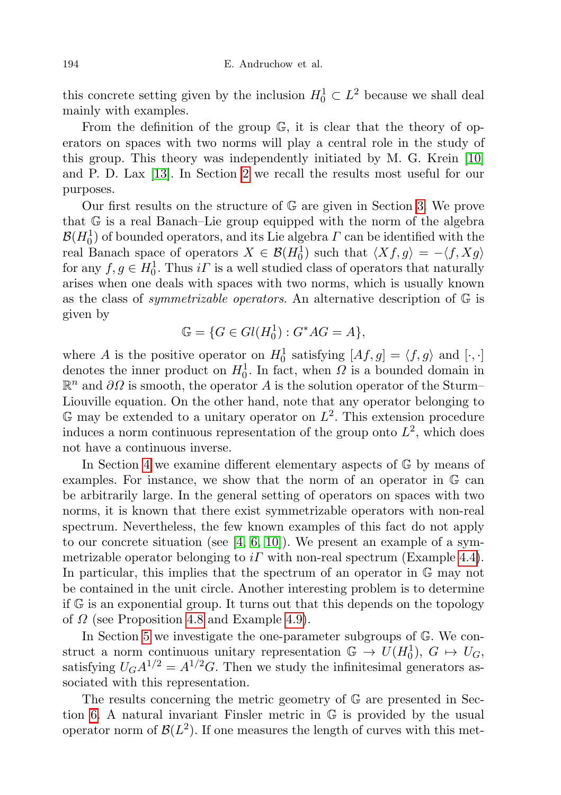this concrete setting given by the inclusion  $H_0^1 \subset L^2$  because we shall deal mainly with examples.

From the definition of the group G, it is clear that the theory of operators on spaces with two norms will play a central role in the study of this group. This theory was independently initiated by M. G. Krein [\[10\]](#page-24-1) and P. D. Lax [\[13\]](#page-24-2). In Section [2](#page-2-0) we recall the results most useful for our purposes.

Our first results on the structure of G are given in Section [3.](#page-3-0) We prove that G is a real Banach–Lie group equipped with the norm of the algebra  $\mathcal{B}(H^1_0)$  of bounded operators, and its Lie algebra  $\varGamma$  can be identified with the real Banach space of operators  $X \in \mathcal{B}(H_0^1)$  such that  $\langle Xf, g \rangle = -\langle f, Xg \rangle$ for any  $f, g \in H_0^1$ . Thus  $i \Gamma$  is a well studied class of operators that naturally arises when one deals with spaces with two norms, which is usually known as the class of *symmetrizable operators*. An alternative description of  $\mathbb{G}$  is given by

$$
\mathbb{G} = \{ G \in Gl(H_0^1) : G^*AG = A \},
$$

where A is the positive operator on  $H_0^1$  satisfying  $[Af, g] = \langle f, g \rangle$  and  $[\cdot, \cdot]$ denotes the inner product on  $H_0^1$ . In fact, when  $\Omega$  is a bounded domain in  $\mathbb{R}^n$  and  $\partial\Omega$  is smooth, the operator A is the solution operator of the Sturm– Liouville equation. On the other hand, note that any operator belonging to  $\mathbb G$  may be extended to a unitary operator on  $L^2$ . This extension procedure induces a norm continuous representation of the group onto  $L^2$ , which does not have a continuous inverse.

In Section [4](#page-10-0) we examine different elementary aspects of G by means of examples. For instance, we show that the norm of an operator in G can be arbitrarily large. In the general setting of operators on spaces with two norms, it is known that there exist symmetrizable operators with non-real spectrum. Nevertheless, the few known examples of this fact do not apply to our concrete situation (see [\[4,](#page-24-3) [6,](#page-24-4) [10\]](#page-24-1)). We present an example of a symmetrizable operator belonging to  $i\Gamma$  with non-real spectrum (Example [4.4\)](#page-13-0). In particular, this implies that the spectrum of an operator in  $\mathbb{G}$  may not be contained in the unit circle. Another interesting problem is to determine if G is an exponential group. It turns out that this depends on the topology of  $\Omega$  (see Proposition [4.8](#page-15-0) and Example [4.9\)](#page-16-0).

In Section [5](#page-17-0) we investigate the one-parameter subgroups of G. We construct a norm continuous unitary representation  $\mathbb{G} \to U(H_0^1), G \mapsto U_G$ , satisfying  $U_G A^{1/2} = A^{1/2} G$ . Then we study the infinitesimal generators associated with this representation.

The results concerning the metric geometry of G are presented in Section [6.](#page-20-0) A natural invariant Finsler metric in G is provided by the usual operator norm of  $\mathcal{B}(L^2)$ . If one measures the length of curves with this met-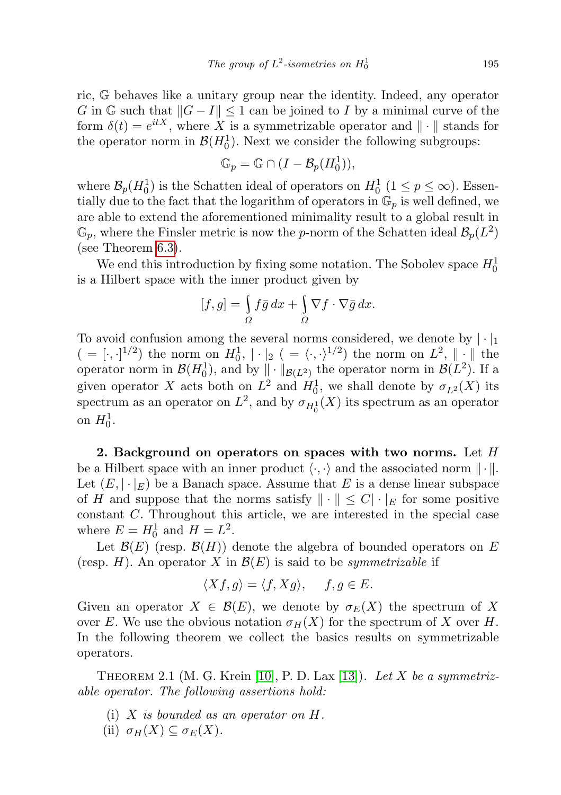ric, G behaves like a unitary group near the identity. Indeed, any operator G in  $\mathbb{G}$  such that  $||G - I|| \leq 1$  can be joined to I by a minimal curve of the form  $\delta(t) = e^{itX}$ , where X is a symmetrizable operator and  $\|\cdot\|$  stands for the operator norm in  $\mathcal{B}(H_0^1)$ . Next we consider the following subgroups:

$$
\mathbb{G}_p = \mathbb{G} \cap (I - \mathcal{B}_p(H_0^1)),
$$

where  $\mathcal{B}_p(H_0^1)$  is the Schatten ideal of operators on  $H_0^1$   $(1 \leq p \leq \infty)$ . Essentially due to the fact that the logarithm of operators in  $\mathbb{G}_p$  is well defined, we are able to extend the aforementioned minimality result to a global result in  $\mathbb{G}_p$ , where the Finsler metric is now the p-norm of the Schatten ideal  $\mathcal{B}_p(L^2)$ (see Theorem [6.3\)](#page-22-0).

We end this introduction by fixing some notation. The Sobolev space  $H_0^1$ is a Hilbert space with the inner product given by

$$
[f,g] = \int_{\Omega} f\bar{g} \, dx + \int_{\Omega} \nabla f \cdot \nabla \bar{g} \, dx.
$$

To avoid confusion among the several norms considered, we denote by  $|\cdot|_1$  $( = [\cdot, \cdot]^{1/2})$  the norm on  $H_0^1$ ,  $|\cdot|_2$   $( = \langle \cdot, \cdot \rangle^{1/2})$  the norm on  $L^2$ ,  $||\cdot||$  the operator norm in  $\mathcal{B}(H_0^1)$ , and by  $\|\cdot\|_{\mathcal{B}(L^2)}$  the operator norm in  $\mathcal{B}(L^2)$ . If a given operator X acts both on  $L^2$  and  $H_0^1$ , we shall denote by  $\sigma_{L^2}(X)$  its spectrum as an operator on  $L^2$ , and by  $\sigma_{H_0^1}(X)$  its spectrum as an operator on  $H_0^1$ .

<span id="page-2-0"></span>2. Background on operators on spaces with two norms. Let  $H$ be a Hilbert space with an inner product  $\langle \cdot, \cdot \rangle$  and the associated norm  $\|\cdot\|$ . Let  $(E, |\cdot|_E)$  be a Banach space. Assume that E is a dense linear subspace of H and suppose that the norms satisfy  $\|\cdot\| \leq C |\cdot|_E$  for some positive constant C. Throughout this article, we are interested in the special case where  $E = H_0^1$  and  $H = L^2$ .

Let  $\mathcal{B}(E)$  (resp.  $\mathcal{B}(H)$ ) denote the algebra of bounded operators on E (resp. H). An operator X in  $\mathcal{B}(E)$  is said to be *symmetrizable* if

$$
\langle Xf, g \rangle = \langle f, Xg \rangle, \quad f, g \in E.
$$

Given an operator  $X \in \mathcal{B}(E)$ , we denote by  $\sigma_E(X)$  the spectrum of X over E. We use the obvious notation  $\sigma_H(X)$  for the spectrum of X over H. In the following theorem we collect the basics results on symmetrizable operators.

<span id="page-2-1"></span>THEOREM 2.1 (M. G. Krein [\[10\]](#page-24-1), P. D. Lax [\[13\]](#page-24-2)). Let X be a symmetrizable operator. The following assertions hold:

- (i)  $X$  is bounded as an operator on  $H$ .
- (ii)  $\sigma_H(X) \subseteq \sigma_E(X)$ .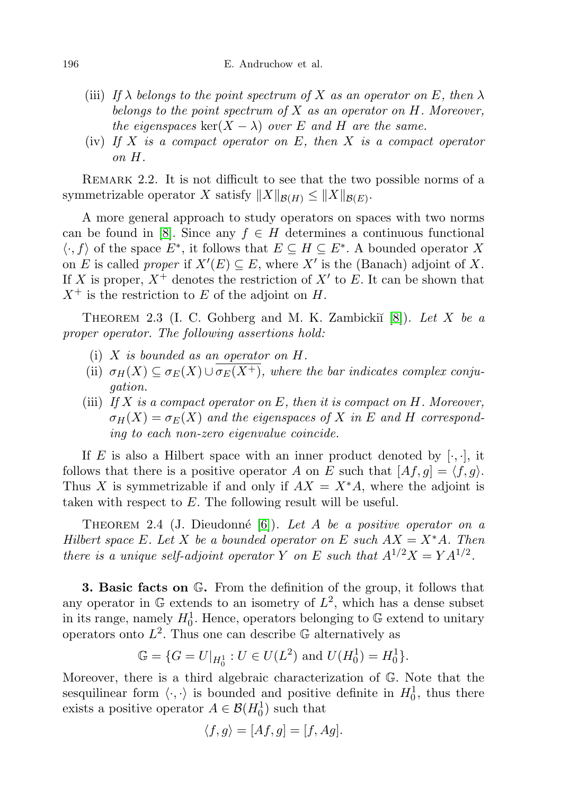- (iii) If  $\lambda$  belongs to the point spectrum of X as an operator on E, then  $\lambda$ belongs to the point spectrum of  $X$  as an operator on  $H$ . Moreover, the eigenspaces ker $(X - \lambda)$  over E and H are the same.
- (iv) If X is a compact operator on  $E$ , then X is a compact operator on H.

Remark 2.2. It is not difficult to see that the two possible norms of a symmetrizable operator X satisfy  $||X||_{\mathcal{B}(H)} \le ||X||_{\mathcal{B}(E)}$ .

A more general approach to study operators on spaces with two norms can be found in [\[8\]](#page-24-5). Since any  $f \in H$  determines a continuous functional  $\langle \cdot, f \rangle$  of the space  $E^*$ , it follows that  $E \subseteq H \subseteq E^*$ . A bounded operator X on E is called *proper* if  $X'(E) \subseteq E$ , where X' is the (Banach) adjoint of X. If X is proper,  $X^+$  denotes the restriction of  $X'$  to E. It can be shown that  $X^+$  is the restriction to E of the adjoint on H.

<span id="page-3-1"></span>THEOREM 2.3 (I. C. Gohberg and M. K. Zambickiı̆ $[8]$ ). Let X be a proper operator. The following assertions hold:

- (i) X is bounded as an operator on H.
- (ii)  $\sigma_H(X) \subseteq \sigma_E(X) \cup \overline{\sigma_E(X^+)}$ , where the bar indicates complex conjugation.
- (iii) If X is a compact operator on E, then it is compact on H. Moreover,  $\sigma_H(X) = \sigma_E(X)$  and the eigenspaces of X in E and H corresponding to each non-zero eigenvalue coincide.

If E is also a Hilbert space with an inner product denoted by  $[\cdot, \cdot]$ , it follows that there is a positive operator A on E such that  $[Af, g] = \langle f, g \rangle$ . Thus X is symmetrizable if and only if  $AX = X^*A$ , where the adjoint is taken with respect to E. The following result will be useful.

<span id="page-3-2"></span>THEOREM 2.4 (J. Dieudonné [\[6\]](#page-24-4)). Let A be a positive operator on a Hilbert space E. Let X be a bounded operator on E such  $AX = X^*A$ . Then there is a unique self-adjoint operator Y on E such that  $A^{1/2}X = YA^{1/2}$ .

<span id="page-3-0"></span>3. Basic facts on G. From the definition of the group, it follows that any operator in  $\mathbb G$  extends to an isometry of  $L^2$ , which has a dense subset in its range, namely  $H_0^1$ . Hence, operators belonging to  $\mathbb G$  extend to unitary operators onto  $L^2$ . Thus one can describe G alternatively as

$$
\mathbb{G} = \{ G = U|_{H_0^1} : U \in U(L^2) \text{ and } U(H_0^1) = H_0^1 \}.
$$

Moreover, there is a third algebraic characterization of G. Note that the sesquilinear form  $\langle \cdot, \cdot \rangle$  is bounded and positive definite in  $H_0^1$ , thus there exists a positive operator  $A \in \mathcal{B}(H_0^1)$  such that

$$
\langle f, g \rangle = [Af, g] = [f, Ag].
$$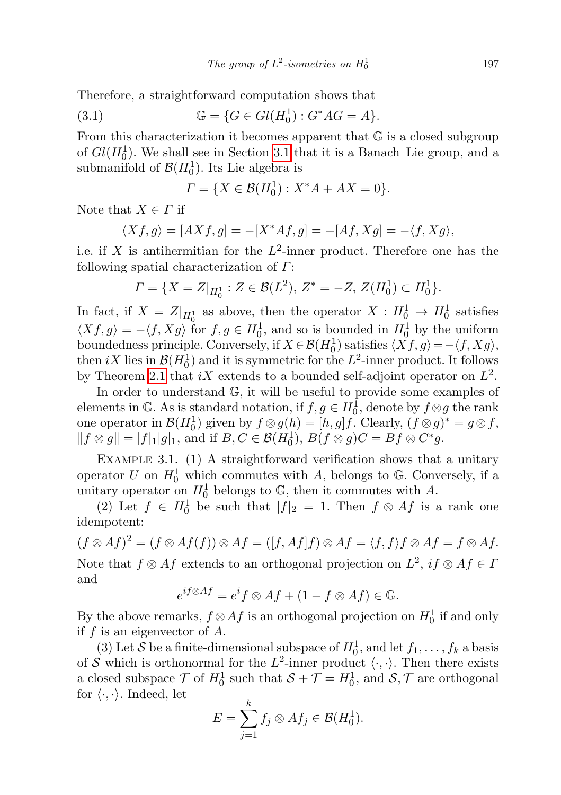Therefore, a straightforward computation shows that

(3.1) 
$$
\mathbb{G} = \{ G \in Gl(H_0^1) : G^*AG = A \}.
$$

From this characterization it becomes apparent that  $\mathbb G$  is a closed subgroup of  $Gl(H_0^1)$ . We shall see in Section [3.1](#page-5-0) that it is a Banach–Lie group, and a submanifold of  $\mathcal{B}(H_0^1)$ . Its Lie algebra is

$$
\Gamma = \{ X \in \mathcal{B}(H_0^1) : X^*A + AX = 0 \}.
$$

Note that  $X \in \Gamma$  if

$$
\langle Xf, g \rangle = [AXf, g] = -[X^*Af, g] = -[Af, Xg] = -\langle f, Xg \rangle,
$$

i.e. if X is antihermitian for the  $L^2$ -inner product. Therefore one has the following spatial characterization of Γ:

$$
\Gamma = \{ X = Z|_{H_0^1} : Z \in \mathcal{B}(L^2), Z^* = -Z, Z(H_0^1) \subset H_0^1 \}.
$$

In fact, if  $X = Z|_{H_0^1}$  as above, then the operator  $X : H_0^1 \to H_0^1$  satisfies  $\langle Xf, g \rangle = -\langle f, Xg \rangle$  for  $f, g \in H_0^1$ , and so is bounded in  $H_0^1$  by the uniform boundedness principle. Conversely, if  $X \in \mathcal{B}(H_0^1)$  satisfies  $\langle Xf, g \rangle = -\langle f, Xg \rangle$ , then  $iX$  lies in  $\mathcal{B}(H_0^1)$  and it is symmetric for the  $L^2$ -inner product. It follows by Theorem [2.1](#page-2-1) that  $iX$  extends to a bounded self-adjoint operator on  $L^2$ .

In order to understand G, it will be useful to provide some examples of elements in G. As is standard notation, if  $f, g \in H_0^{\overline{1}}$ , denote by  $f \otimes g$  the rank one operator in  $\mathcal{B}(H_0^1)$  given by  $f \otimes g(h) = [h, g]f$ . Clearly,  $(f \otimes g)^* = g \otimes f$ ,  $|| f \otimes g || = |f|_1 |g|_1$ , and if  $B, C \in \mathcal{B}(H_0^1)$ ,  $B(f \otimes g)C = Bf \otimes C^*g$ .

<span id="page-4-0"></span>Example 3.1. (1) A straightforward verification shows that a unitary operator U on  $H_0^1$  which commutes with A, belongs to G. Conversely, if a unitary operator on  $H_0^1$  belongs to  $\mathbb{G}$ , then it commutes with A.

(2) Let  $f \in H_0^1$  be such that  $|f|_2 = 1$ . Then  $f \otimes Af$  is a rank one idempotent:

 $(f \otimes Af)^2 = (f \otimes Af(f)) \otimes Af = ([f, Af]f) \otimes Af = \langle f, f \rangle f \otimes Af = f \otimes Af.$ Note that  $f \otimes Af$  extends to an orthogonal projection on  $L^2$ ,  $if \otimes Af \in I$ and

$$
e^{if\otimes Af} = e^if \otimes Af + (1 - f \otimes Af) \in \mathbb{G}.
$$

By the above remarks,  $f \otimes Af$  is an orthogonal projection on  $H_0^1$  if and only if  $f$  is an eigenvector of  $A$ .

(3) Let S be a finite-dimensional subspace of  $H_0^1$ , and let  $f_1, \ldots, f_k$  a basis of S which is orthonormal for the  $L^2$ -inner product  $\langle \cdot, \cdot \rangle$ . Then there exists a closed subspace  $\mathcal{T}$  of  $H_0^1$  such that  $\mathcal{S} + \mathcal{T} = H_0^1$ , and  $\mathcal{S}, \mathcal{T}$  are orthogonal for  $\langle \cdot, \cdot \rangle$ . Indeed, let

$$
E=\sum_{j=1}^k f_j\otimes Af_j\in \mathcal{B}(H_0^1).
$$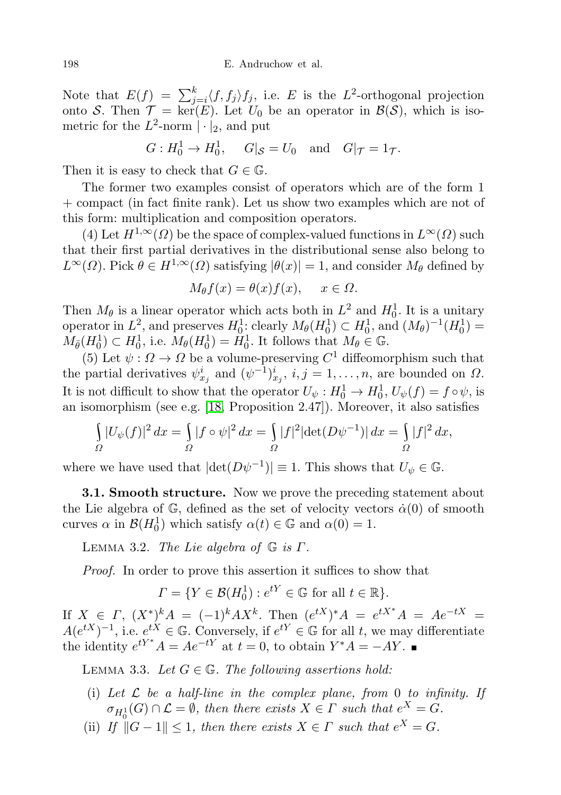Note that  $E(f) = \sum_{j=i}^{k} \langle f, f_j \rangle f_j$ , i.e. E is the  $L^2$ -orthogonal projection onto S. Then  $\mathcal{T} = \ker(E)$ . Let  $U_0$  be an operator in  $\mathcal{B}(\mathcal{S})$ , which is isometric for the  $L^2$ -norm  $|\cdot|_2$ , and put

$$
G: H_0^1 \to H_0^1
$$
,  $G|_{\mathcal{S}} = U_0$  and  $G|_{\mathcal{T}} = 1_{\mathcal{T}}$ .

Then it is easy to check that  $G \in \mathbb{G}$ .

The former two examples consist of operators which are of the form 1 + compact (in fact finite rank). Let us show two examples which are not of this form: multiplication and composition operators.

(4) Let  $H^{1,\infty}(\Omega)$  be the space of complex-valued functions in  $L^{\infty}(\Omega)$  such that their first partial derivatives in the distributional sense also belong to  $L^{\infty}(\Omega)$ . Pick  $\theta \in H^{1,\infty}(\Omega)$  satisfying  $|\theta(x)| = 1$ , and consider  $M_{\theta}$  defined by

$$
M_{\theta}f(x) = \theta(x)f(x), \quad x \in \Omega.
$$

Then  $M_{\theta}$  is a linear operator which acts both in  $L^2$  and  $H_0^1$ . It is a unitary operator in  $L^2$ , and preserves  $H_0^1$ ; clearly  $M_\theta(H_0^1) \subset H_0^1$ , and  $(M_\theta)^{-1}(H_0^1) =$  $M_{\bar{\theta}}(H_0^1) \subset H_0^1$ , i.e.  $M_{\theta}(H_0^1) = H_0^1$ . It follows that  $M_{\theta} \in \mathbb{G}$ .

(5) Let  $\psi : \Omega \to \Omega$  be a volume-preserving  $C^1$  diffeomorphism such that the partial derivatives  $\psi_{x_j}^i$  and  $(\psi^{-1})_{x_j}^i$ ,  $i, j = 1, ..., n$ , are bounded on  $\Omega$ . It is not difficult to show that the operator  $U_{\psi}: H_0^1 \to H_0^1$ ,  $U_{\psi}(f) = f \circ \psi$ , is an isomorphism (see e.g. [\[18,](#page-24-6) Proposition 2.47]). Moreover, it also satisfies

$$
\int_{\Omega} |U_{\psi}(f)|^2 dx = \int_{\Omega} |f \circ \psi|^2 dx = \int_{\Omega} |f|^2 |\det(D\psi^{-1})| dx = \int_{\Omega} |f|^2 dx,
$$

where we have used that  $|\text{det}(D\psi^{-1})| \equiv 1$ . This shows that  $U_{\psi} \in \mathbb{G}$ .

<span id="page-5-0"></span>**3.1. Smooth structure.** Now we prove the preceding statement about the Lie algebra of  $\mathbb{G}$ , defined as the set of velocity vectors  $\dot{\alpha}(0)$  of smooth curves  $\alpha$  in  $\mathcal{B}(H_0^1)$  which satisfy  $\alpha(t) \in \mathbb{G}$  and  $\alpha(0) = 1$ .

LEMMA 3.2. The Lie algebra of  $\mathbb G$  is  $\Gamma$ .

Proof. In order to prove this assertion it suffices to show that

$$
\Gamma = \{ Y \in \mathcal{B}(H_0^1) : e^{tY} \in \mathbb{G} \text{ for all } t \in \mathbb{R} \}.
$$

If  $X \in \Gamma$ ,  $(X^*)^k A = (-1)^k A X^k$ . Then  $(e^{tX})^* A = e^{tX^*} A = Ae^{-tX}$  $A(e^{tX})^{-1}$ , i.e.  $e^{tX} \in \mathbb{G}$ . Conversely, if  $e^{tY} \in \mathbb{G}$  for all t, we may differentiate the identity  $e^{tY^*} A = Ae^{-tY}$  at  $t = 0$ , to obtain  $Y^* A = -AY$ .

<span id="page-5-1"></span>LEMMA 3.3. Let  $G \in \mathbb{G}$ . The following assertions hold:

- (i) Let  $\mathcal L$  be a half-line in the complex plane, from 0 to infinity. If  $\sigma_{H_0^1}(G) \cap \mathcal{L} = \emptyset$ , then there exists  $X \in \Gamma$  such that  $e^X = G$ .
- (ii) If  $||G 1|| \leq 1$ , then there exists  $X \in \Gamma$  such that  $e^X = G$ .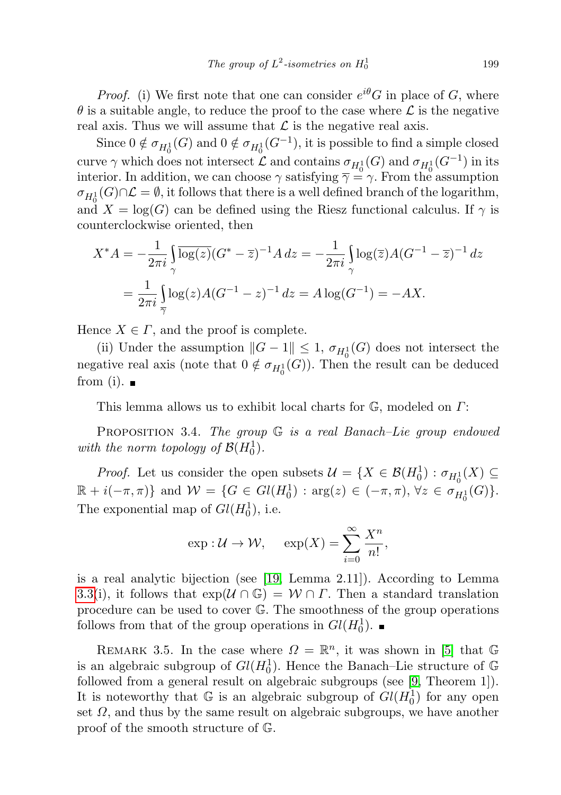*Proof.* (i) We first note that one can consider  $e^{i\theta}$ G in place of G, where  $\theta$  is a suitable angle, to reduce the proof to the case where  $\mathcal L$  is the negative real axis. Thus we will assume that  $\mathcal L$  is the negative real axis.

Since  $0 \notin \sigma_{H_0^1}(G)$  and  $0 \notin \sigma_{H_0^1}(G^{-1})$ , it is possible to find a simple closed curve  $\gamma$  which does not intersect  $\mathcal L$  and contains  $\sigma_{H_0^1}(G)$  and  $\sigma_{H_0^1}(G^{-1})$  in its interior. In addition, we can choose  $\gamma$  satisfying  $\overline{\gamma} = \gamma$ . From the assumption  $\sigma_{H_0^1}(G) \cap \mathcal{L} = \emptyset$ , it follows that there is a well defined branch of the logarithm, and  $X = \log(G)$  can be defined using the Riesz functional calculus. If  $\gamma$  is counterclockwise oriented, then

$$
X^*A = -\frac{1}{2\pi i} \int_{\gamma} \overline{\log(z)} (G^* - \overline{z})^{-1} A \, dz = -\frac{1}{2\pi i} \int_{\gamma} \log(\overline{z}) A (G^{-1} - \overline{z})^{-1} \, dz
$$
  
=  $\frac{1}{2\pi i} \int_{\overline{\gamma}} \log(z) A (G^{-1} - z)^{-1} \, dz = A \log(G^{-1}) = -AX.$ 

Hence  $X \in \Gamma$ , and the proof is complete.

(ii) Under the assumption  $||G - 1|| \leq 1$ ,  $\sigma_{H_0^1}(G)$  does not intersect the negative real axis (note that  $0 \notin \sigma_{H_0^1}(G)$ ). Then the result can be deduced from (i).  $\blacksquare$ 

This lemma allows us to exhibit local charts for G, modeled on Γ:

**PROPOSITION** 3.4. The group  $G$  is a real Banach–Lie group endowed with the norm topology of  $\mathcal{B}(H_0^1)$ .

*Proof.* Let us consider the open subsets  $\mathcal{U} = \{X \in \mathcal{B}(H_0^1) : \sigma_{H_0^1}(X) \subseteq$  $\mathbb{R} + i(-\pi, \pi)$  and  $\mathcal{W} = \{ G \in Gl(H_0^1) : \arg(z) \in (-\pi, \pi), \forall z \in \sigma_{H_0^1}(G) \}.$ The exponential map of  $Gl(H_0^1)$ , i.e.

$$
\exp: \mathcal{U} \to \mathcal{W}, \quad \exp(X) = \sum_{i=0}^{\infty} \frac{X^n}{n!},
$$

is a real analytic bijection (see [\[19,](#page-24-7) Lemma 2.11]). According to Lemma [3.3\(](#page-5-1)i), it follows that  $\exp(\mathcal{U} \cap \mathbb{G}) = \mathcal{W} \cap \Gamma$ . Then a standard translation procedure can be used to cover G. The smoothness of the group operations follows from that of the group operations in  $Gl(H_0^1)$ .

REMARK 3.5. In the case where  $\Omega = \mathbb{R}^n$ , it was shown in [\[5\]](#page-24-0) that G is an algebraic subgroup of  $Gl(H_0^1)$ . Hence the Banach–Lie structure of G followed from a general result on algebraic subgroups (see [\[9,](#page-24-8) Theorem 1]). It is noteworthy that  $\mathbb G$  is an algebraic subgroup of  $Gl(H_0^1)$  for any open set  $\Omega$ , and thus by the same result on algebraic subgroups, we have another proof of the smooth structure of G.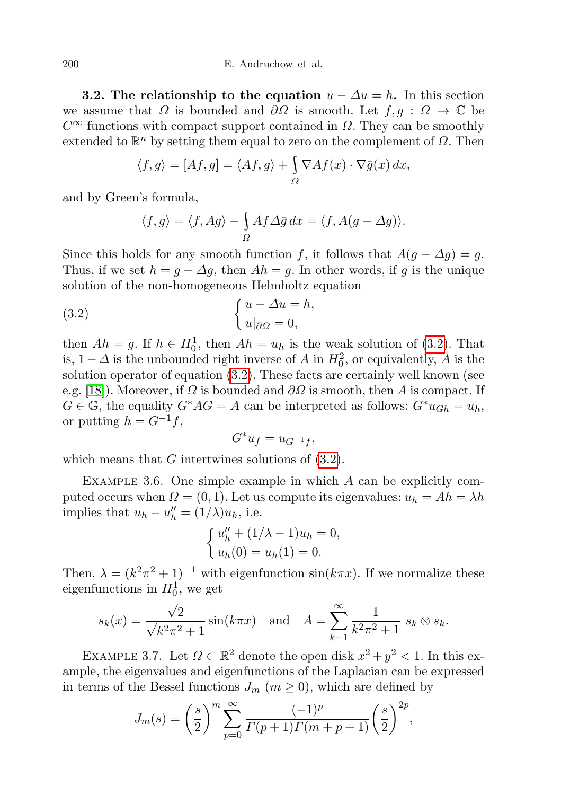**3.2.** The relationship to the equation  $u - \Delta u = h$ . In this section we assume that  $\Omega$  is bounded and  $\partial\Omega$  is smooth. Let  $f, g : \Omega \to \mathbb{C}$  be  $C^{\infty}$  functions with compact support contained in  $\Omega$ . They can be smoothly extended to  $\mathbb{R}^n$  by setting them equal to zero on the complement of  $\Omega$ . Then

$$
\langle f, g \rangle = [Af, g] = \langle Af, g \rangle + \int_{\Omega} \nabla Af(x) \cdot \nabla \overline{g}(x) dx,
$$

and by Green's formula,

<span id="page-7-0"></span>
$$
\langle f, g \rangle = \langle f, Ag \rangle - \int_{\Omega} Af \Delta \bar{g} \, dx = \langle f, A(g - \Delta g) \rangle.
$$

Since this holds for any smooth function f, it follows that  $A(g - \Delta g) = g$ . Thus, if we set  $h = g - \Delta g$ , then  $Ah = g$ . In other words, if g is the unique solution of the non-homogeneous Helmholtz equation

(3.2) 
$$
\begin{cases} u - \Delta u = h, \\ u|_{\partial \Omega} = 0, \end{cases}
$$

then  $Ah = g$ . If  $h \in H_0^1$ , then  $Ah = u_h$  is the weak solution of [\(3.2\)](#page-7-0). That is,  $1 - \Delta$  is the unbounded right inverse of A in  $H_0^2$ , or equivalently, A is the solution operator of equation [\(3.2\)](#page-7-0). These facts are certainly well known (see e.g. [\[18\]](#page-24-6)). Moreover, if  $\Omega$  is bounded and  $\partial\Omega$  is smooth, then A is compact. If  $G \in \mathbb{G}$ , the equality  $G^*AG = A$  can be interpreted as follows:  $G^*u_{Gh} = u_h$ , or putting  $h = G^{-1}f$ ,

$$
G^*u_f = u_{G^{-1}f},
$$

which means that  $G$  intertwines solutions of  $(3.2)$ .

Example 3.6. One simple example in which A can be explicitly computed occurs when  $\Omega = (0, 1)$ . Let us compute its eigenvalues:  $u_h = Ah = \lambda h$ implies that  $u_h - u_h'' = (1/\lambda)u_h$ , i.e.

$$
\begin{cases} u''_h + (1/\lambda - 1)u_h = 0, \\ u_h(0) = u_h(1) = 0. \end{cases}
$$

Then,  $\lambda = (k^2 \pi^2 + 1)^{-1}$  with eigenfunction sin( $k \pi x$ ). If we normalize these eigenfunctions in  $H_0^1$ , we get

$$
s_k(x) = \frac{\sqrt{2}}{\sqrt{k^2 \pi^2 + 1}} \sin(k\pi x)
$$
 and  $A = \sum_{k=1}^{\infty} \frac{1}{k^2 \pi^2 + 1} s_k \otimes s_k$ .

EXAMPLE 3.7. Let  $\Omega \subset \mathbb{R}^2$  denote the open disk  $x^2 + y^2 < 1$ . In this example, the eigenvalues and eigenfunctions of the Laplacian can be expressed in terms of the Bessel functions  $J_m$   $(m \geq 0)$ , which are defined by

$$
J_m(s) = \left(\frac{s}{2}\right)^m \sum_{p=0}^{\infty} \frac{(-1)^p}{\Gamma(p+1)\Gamma(m+p+1)} \left(\frac{s}{2}\right)^{2p},
$$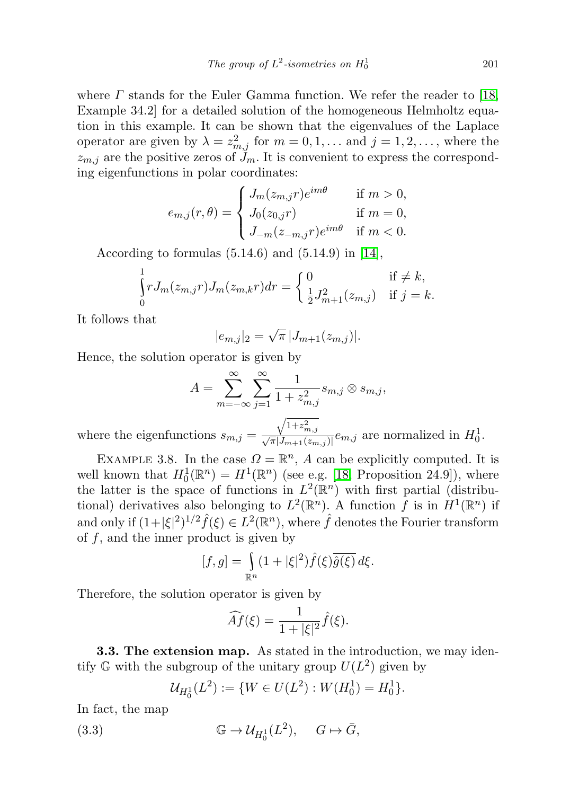where  $\Gamma$  stands for the Euler Gamma function. We refer the reader to [\[18,](#page-24-6) Example 34.2] for a detailed solution of the homogeneous Helmholtz equation in this example. It can be shown that the eigenvalues of the Laplace operator are given by  $\lambda = z_{m,j}^2$  for  $m = 0, 1, \ldots$  and  $j = 1, 2, \ldots$ , where the  $z_{m,j}$  are the positive zeros of  $\tilde{J}_m$ . It is convenient to express the corresponding eigenfunctions in polar coordinates:

$$
e_{m,j}(r,\theta) = \begin{cases} J_m(z_{m,j}r)e^{im\theta} & \text{if } m > 0, \\ J_0(z_{0,j}r) & \text{if } m = 0, \\ J_{-m}(z_{-m,j}r)e^{im\theta} & \text{if } m < 0. \end{cases}
$$

According to formulas  $(5.14.6)$  and  $(5.14.9)$  in [\[14\]](#page-24-9),

$$
\int_{0}^{1} r J_{m}(z_{m,j}r) J_{m}(z_{m,k}r) dr = \begin{cases} 0 & \text{if } \neq k, \\ \frac{1}{2} J_{m+1}^{2}(z_{m,j}) & \text{if } j = k. \end{cases}
$$

It follows that

$$
|e_{m,j}|_2 = \sqrt{\pi} |J_{m+1}(z_{m,j})|.
$$

Hence, the solution operator is given by

$$
A = \sum_{m=-\infty}^{\infty} \sum_{j=1}^{\infty} \frac{1}{1 + z_{m,j}^2} s_{m,j} \otimes s_{m,j},
$$
  
where the eigenfunctions  $s_{m,j} = \frac{\sqrt{1 + z_{m,j}^2}}{\sqrt{\pi} |J_{m+1}(z_{m,j})|} e_{m,j}$  are normalized in  $H_0^1$ .

EXAMPLE 3.8. In the case  $\Omega = \mathbb{R}^n$ , A can be explicitly computed. It is well known that  $H_0^1(\mathbb{R}^n) = H^1(\mathbb{R}^n)$  (see e.g. [\[18,](#page-24-6) Proposition 24.9]), where the latter is the space of functions in  $L^2(\mathbb{R}^n)$  with first partial (distributional) derivatives also belonging to  $L^2(\mathbb{R}^n)$ . A function f is in  $H^1(\mathbb{R}^n)$  if and only if  $(1+|\xi|^2)^{1/2} \hat{f}(\xi) \in L^2(\mathbb{R}^n)$ , where  $\hat{f}$  denotes the Fourier transform of  $f$ , and the inner product is given by

$$
[f,g] = \int_{\mathbb{R}^n} (1+|\xi|^2) \widehat{f}(\xi) \overline{\widehat{g}(\xi)} d\xi.
$$

Therefore, the solution operator is given by

$$
\widehat{Af}(\xi) = \frac{1}{1+|\xi|^2} \widehat{f}(\xi).
$$

**3.3. The extension map.** As stated in the introduction, we may identify  $\mathbb G$  with the subgroup of the unitary group  $U(L^2)$  given by

<span id="page-8-0"></span>
$$
\mathcal{U}_{H_0^1}(L^2) := \{ W \in U(L^2) : W(H_0^1) = H_0^1 \}.
$$

In fact, the map

(3.3) 
$$
\mathbb{G} \to \mathcal{U}_{H_0^1}(L^2), \quad G \mapsto \bar{G},
$$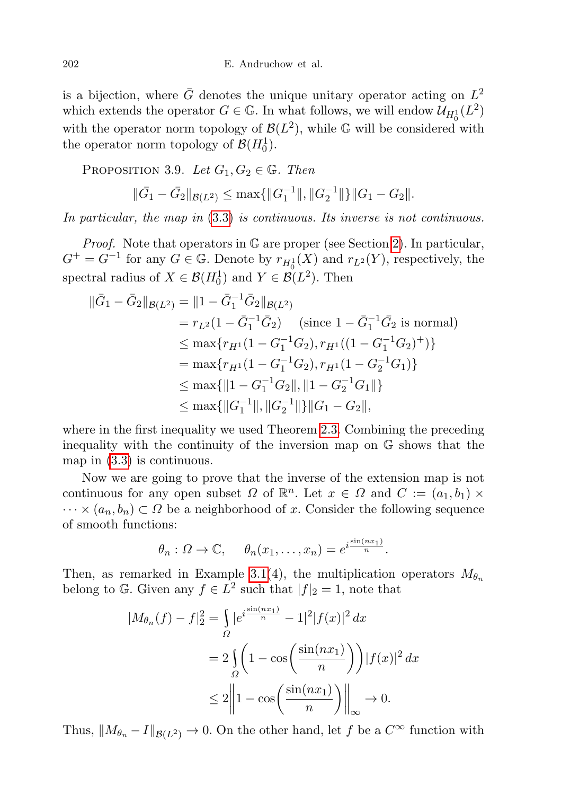is a bijection, where  $\bar{G}$  denotes the unique unitary operator acting on  $L^2$ which extends the operator  $G \in \mathbb{G}$ . In what follows, we will endow  $\mathcal{U}_{H_0^1}(L^2)$ with the operator norm topology of  $\mathcal{B}(L^2)$ , while G will be considered with the operator norm topology of  $\mathcal{B}(H_0^1)$ .

<span id="page-9-0"></span>PROPOSITION 3.9. Let  $G_1, G_2 \in \mathbb{G}$ . Then

$$
\|\bar{G}_1 - \bar{G}_2\|_{\mathcal{B}(L^2)} \le \max\{\|G_1^{-1}\|, \|G_2^{-1}\|\}\|G_1 - G_2\|.
$$

In particular, the map in [\(3](#page-8-0).3) is continuous. Its inverse is not continuous.

Proof. Note that operators in G are proper (see Section [2\)](#page-2-0). In particular,  $G^+ = G^{-1}$  for any  $G \in \mathbb{G}$ . Denote by  $r_{H_0^1}(X)$  and  $r_{L^2}(Y)$ , respectively, the spectral radius of  $X \in \mathcal{B}(H_0^1)$  and  $Y \in \mathcal{B}(L^2)$ . Then

$$
\begin{aligned} \|\bar{G}_1 - \bar{G}_2\|_{\mathcal{B}(L^2)} &= \|1 - \bar{G}_1^{-1}\bar{G}_2\|_{\mathcal{B}(L^2)} \\ &= r_{L^2}(1 - \bar{G}_1^{-1}\bar{G}_2) \quad \text{(since } 1 - \bar{G}_1^{-1}\bar{G}_2 \text{ is normal)} \\ &\leq \max\{r_{H^1}(1 - G_1^{-1}G_2), r_{H^1}((1 - G_1^{-1}G_2)^+)\} \\ &= \max\{r_{H^1}(1 - G_1^{-1}G_2), r_{H^1}(1 - G_2^{-1}G_1)\} \\ &\leq \max\{\|1 - G_1^{-1}G_2\|, \|1 - G_2^{-1}G_1\|\} \\ &\leq \max\{\|G_1^{-1}\|, \|G_2^{-1}\|\}\|G_1 - G_2\|, \end{aligned}
$$

where in the first inequality we used Theorem [2.3.](#page-3-1) Combining the preceding inequality with the continuity of the inversion map on G shows that the map in [\(3.3\)](#page-8-0) is continuous.

Now we are going to prove that the inverse of the extension map is not continuous for any open subset  $\Omega$  of  $\mathbb{R}^n$ . Let  $x \in \Omega$  and  $C := (a_1, b_1) \times$  $\cdots \times (a_n, b_n) \subset \Omega$  be a neighborhood of x. Consider the following sequence of smooth functions:

$$
\theta_n
$$
:  $\Omega \to \mathbb{C}$ ,  $\theta_n(x_1,\ldots,x_n) = e^{i\frac{\sin(nx_1)}{n}}$ .

Then, as remarked in Example [3.1\(](#page-4-0)4), the multiplication operators  $M_{\theta_n}$ belong to G. Given any  $f \in L^2$  such that  $|f|_2 = 1$ , note that

$$
|M_{\theta_n}(f) - f|_2^2 = \int_{\Omega} |e^{i\frac{\sin(nx_1)}{n}} - 1|^2 |f(x)|^2 dx
$$
  
=  $2 \int_{\Omega} \left(1 - \cos\left(\frac{\sin(nx_1)}{n}\right)\right) |f(x)|^2 dx$   
 $\leq 2 \left\|1 - \cos\left(\frac{\sin(nx_1)}{n}\right)\right\|_{\infty} \to 0.$ 

Thus,  $||M_{\theta_n} - I||_{\mathcal{B}(L^2)} \to 0$ . On the other hand, let f be a  $C^{\infty}$  function with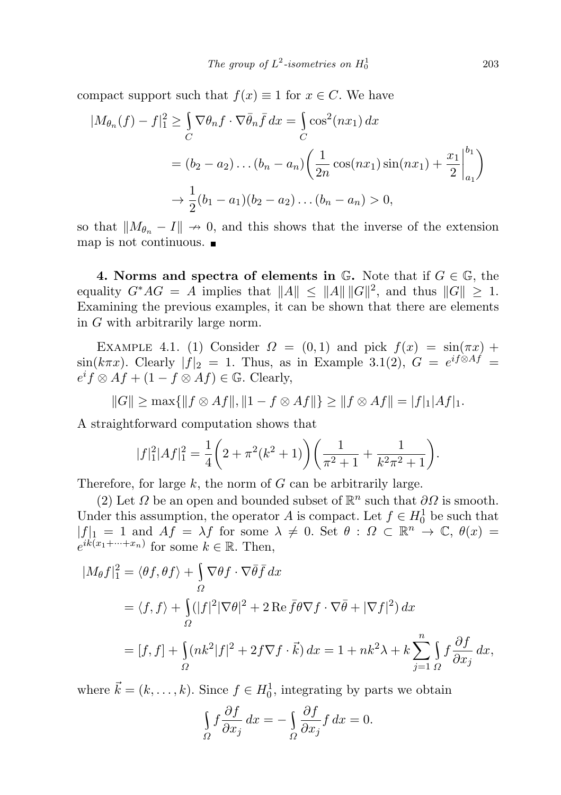compact support such that  $f(x) \equiv 1$  for  $x \in C$ . We have

$$
|M_{\theta_n}(f) - f|_1^2 \ge \int_C \nabla \theta_n f \cdot \nabla \bar{\theta}_n \bar{f} \, dx = \int_C \cos^2(nx_1) \, dx
$$
  
=  $(b_2 - a_2) \dots (b_n - a_n) \left( \frac{1}{2n} \cos(nx_1) \sin(nx_1) + \frac{x_1}{2} \Big|_{a_1}^{b_1} \right)$   
 $\to \frac{1}{2} (b_1 - a_1) (b_2 - a_2) \dots (b_n - a_n) > 0,$ 

so that  $||M_{\theta_n} - I|| \to 0$ , and this shows that the inverse of the extension map is not continuous.

<span id="page-10-0"></span>4. Norms and spectra of elements in  $\mathbb{G}$ . Note that if  $G \in \mathbb{G}$ , the equality  $G^*AG = A$  implies that  $||A|| \le ||A|| ||G||^2$ , and thus  $||G|| \ge 1$ . Examining the previous examples, it can be shown that there are elements in G with arbitrarily large norm.

EXAMPLE 4.1. (1) Consider  $\Omega = (0,1)$  and pick  $f(x) = \sin(\pi x) +$  $\sin(k\pi x)$ . Clearly  $|f|_2 = 1$ . Thus, as in Example 3.1(2),  $G = e^{if\otimes Af} =$  $e^i f \otimes Af + (1 - f \otimes Af) \in \mathbb{G}$ . Clearly,

$$
||G|| \ge \max{||f \otimes Af||, ||1 - f \otimes Af||} \ge ||f \otimes Af|| = |f|_1|Af|_1.
$$

A straightforward computation shows that

$$
|f_1|^2|Af_1|^2 = \frac{1}{4}\left(2 + \pi^2(k^2 + 1)\right)\left(\frac{1}{\pi^2 + 1} + \frac{1}{k^2\pi^2 + 1}\right).
$$

Therefore, for large  $k$ , the norm of  $G$  can be arbitrarily large.

(2) Let  $\Omega$  be an open and bounded subset of  $\mathbb{R}^n$  such that  $\partial\Omega$  is smooth. Under this assumption, the operator A is compact. Let  $f \in H_0^1$  be such that  $|f|_1 = 1$  and  $Af = \lambda f$  for some  $\lambda \neq 0$ . Set  $\theta : \Omega \subset \mathbb{R}^n \to \mathbb{C}$ ,  $\theta(x) =$  $e^{ik(x_1+\cdots+x_n)}$  for some  $k \in \mathbb{R}$ . Then,

$$
|M_{\theta}f|_{1}^{2} = \langle \theta f, \theta f \rangle + \int_{\Omega} \nabla \theta f \cdot \nabla \bar{\theta} \bar{f} dx
$$
  
=  $\langle f, f \rangle + \int_{\Omega} (|f|^{2} |\nabla \theta|^{2} + 2 \operatorname{Re} \bar{f} \theta \nabla f \cdot \nabla \bar{\theta} + |\nabla f|^{2}) dx$   
=  $[f, f] + \int_{\Omega} (nk^{2} |f|^{2} + 2f \nabla f \cdot \vec{k}) dx = 1 + nk^{2} \lambda + k \sum_{j=1}^{n} \int_{\Omega} f \frac{\partial f}{\partial x_{j}} dx,$ 

where  $\vec{k} = (k, \ldots, k)$ . Since  $f \in H_0^1$ , integrating by parts we obtain

$$
\int_{\Omega} f \frac{\partial f}{\partial x_j} dx = -\int_{\Omega} \frac{\partial f}{\partial x_j} f dx = 0.
$$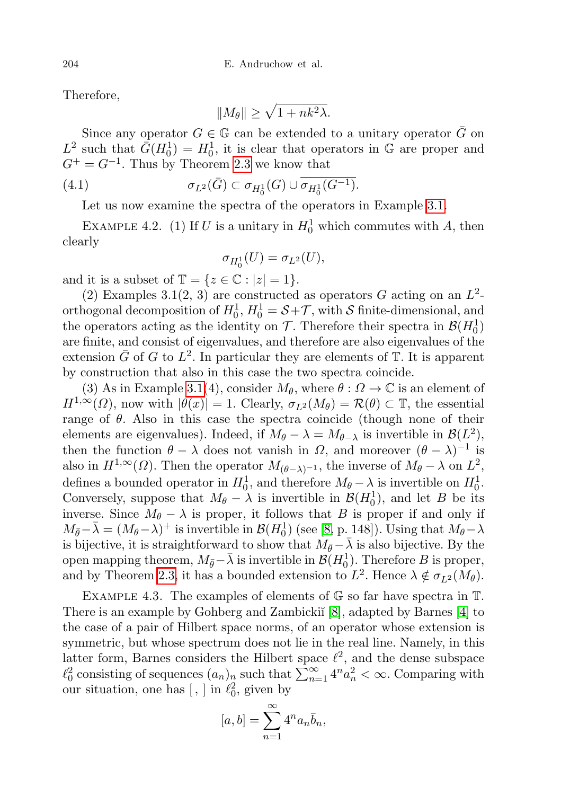Therefore,

<span id="page-11-0"></span>
$$
||M_{\theta}|| \geq \sqrt{1 + nk^2\lambda}.
$$

Since any operator  $G \in \mathbb{G}$  can be extended to a unitary operator  $\overline{G}$  on  $L^2$  such that  $\bar{G}(H_0^1) = H_0^1$ , it is clear that operators in G are proper and  $G^+ = G^{-1}$ . Thus by Theorem [2.3](#page-3-1) we know that

(4.1) 
$$
\sigma_{L^2}(\bar{G}) \subset \sigma_{H_0^1}(G) \cup \overline{\sigma_{H_0^1}(G^{-1})}.
$$

Let us now examine the spectra of the operators in Example [3.1.](#page-4-0)

EXAMPLE 4.2. (1) If U is a unitary in  $H_0^1$  which commutes with A, then clearly

$$
\sigma_{H_0^1}(U) = \sigma_{L^2}(U),
$$

and it is a subset of  $\mathbb{T} = \{z \in \mathbb{C} : |z| = 1\}.$ 

(2) Examples 3.1(2, 3) are constructed as operators G acting on an  $L^2$ orthogonal decomposition of  $H_0^1$ ,  $H_0^1 = \mathcal{S} + \mathcal{T}$ , with  $\mathcal S$  finite-dimensional, and the operators acting as the identity on  $\mathcal{T}$ . Therefore their spectra in  $\mathcal{B}(H_0^1)$ are finite, and consist of eigenvalues, and therefore are also eigenvalues of the extension  $\bar{G}$  of G to  $L^2$ . In particular they are elements of  $\bar{\mathbb{T}}$ . It is apparent by construction that also in this case the two spectra coincide.

(3) As in Example [3.1\(](#page-4-0)4), consider  $M_{\theta}$ , where  $\theta : \Omega \to \mathbb{C}$  is an element of  $H^{1,\infty}(\Omega)$ , now with  $|\theta(x)| = 1$ . Clearly,  $\sigma_{L^2}(M_\theta) = \mathcal{R}(\theta) \subset \mathbb{T}$ , the essential range of  $\theta$ . Also in this case the spectra coincide (though none of their elements are eigenvalues). Indeed, if  $M_{\theta} - \lambda = M_{\theta - \lambda}$  is invertible in  $\mathcal{B}(L^2)$ , then the function  $\theta - \lambda$  does not vanish in  $\Omega$ , and moreover  $(\theta - \lambda)^{-1}$  is also in  $H^{1,\infty}(\Omega)$ . Then the operator  $M_{(\theta-\lambda)^{-1}}$ , the inverse of  $M_{\theta} - \lambda$  on  $L^2$ , defines a bounded operator in  $H_0^1$ , and therefore  $M_\theta - \lambda$  is invertible on  $H_0^1$ . Conversely, suppose that  $M_{\theta} - \lambda$  is invertible in  $\mathcal{B}(H_0^1)$ , and let B be its inverse. Since  $M_{\theta} - \lambda$  is proper, it follows that B is proper if and only if  $M_{\bar{\theta}}-\bar{\lambda}=(M_{\theta}-\lambda)^+$  is invertible in  $\mathcal{B}(H_0^1)$  (see [\[8,](#page-24-5) p. 148]). Using that  $M_{\theta}-\lambda$ is bijective, it is straightforward to show that  $M_{\bar{\theta}}-\bar{\lambda}$  is also bijective. By the open mapping theorem,  $M_{\bar{\theta}}$ − $\bar{\lambda}$  is invertible in  $\mathcal{B}(H_0^1)$ . Therefore  $B$  is proper, and by Theorem [2.3,](#page-3-1) it has a bounded extension to  $L^2$ . Hence  $\lambda \notin \sigma_{L^2}(M_\theta)$ .

EXAMPLE 4.3. The examples of elements of  $\mathbb G$  so far have spectra in  $\mathbb T$ . There is an example by Gohberg and Zambicki˘ı [\[8\]](#page-24-5), adapted by Barnes [\[4\]](#page-24-3) to the case of a pair of Hilbert space norms, of an operator whose extension is symmetric, but whose spectrum does not lie in the real line. Namely, in this latter form, Barnes considers the Hilbert space  $\ell^2$ , and the dense subspace  $\ell_0^2$  consisting of sequences  $(a_n)_n$  such that  $\sum_{n=1}^{\infty} 4^n a_n^2 < \infty$ . Comparing with our situation, one has  $[ , ]$  in  $\ell_0^2$ , given by

$$
[a,b] = \sum_{n=1}^{\infty} 4^n a_n \bar{b}_n,
$$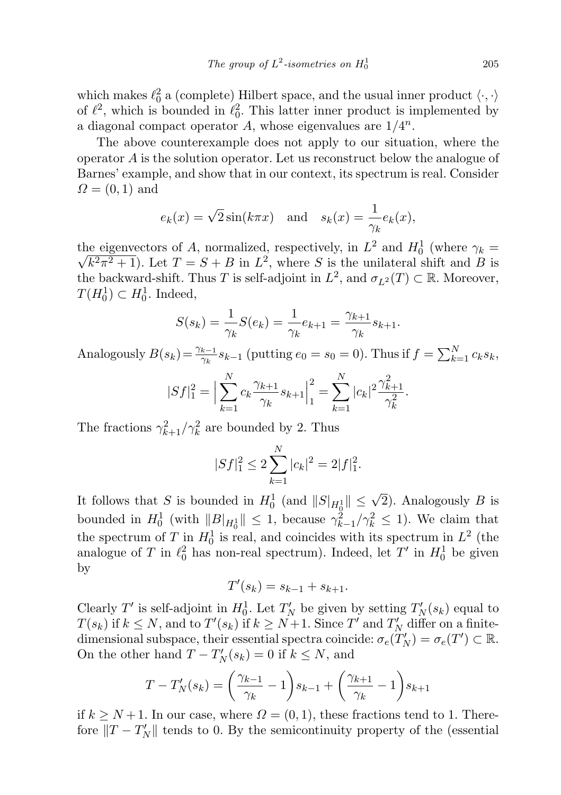which makes  $\ell_0^2$  a (complete) Hilbert space, and the usual inner product  $\langle \cdot, \cdot \rangle$ of  $\ell^2$ , which is bounded in  $\ell_0^2$ . This latter inner product is implemented by a diagonal compact operator A, whose eigenvalues are  $1/4^n$ .

The above counterexample does not apply to our situation, where the operator A is the solution operator. Let us reconstruct below the analogue of Barnes' example, and show that in our context, its spectrum is real. Consider  $\Omega = (0, 1)$  and

$$
e_k(x) = \sqrt{2}\sin(k\pi x)
$$
 and  $s_k(x) = \frac{1}{\gamma_k}e_k(x)$ ,

the eigenvectors of A, normalized, respectively, in  $L^2$  and  $H_0^1$  (where  $\gamma_k =$  $\sqrt{k^2\pi^2+1}$ ). Let  $T = S + B$  in  $L^2$ , where S is the unilateral shift and B is the backward-shift. Thus T is self-adjoint in  $L^2$ , and  $\sigma_{L^2}(T) \subset \mathbb{R}$ . Moreover,  $T(H_0^1) \subset H_0^1$ . Indeed,

$$
S(s_k) = \frac{1}{\gamma_k} S(e_k) = \frac{1}{\gamma_k} e_{k+1} = \frac{\gamma_{k+1}}{\gamma_k} s_{k+1}.
$$

Analogously  $B(s_k) = \frac{\gamma_{k-1}}{\gamma_k} s_{k-1}$  (putting  $e_0 = s_0 = 0$ ). Thus if  $f = \sum_{k=1}^N c_k s_k$ ,

$$
|Sf|_1^2 = \Big| \sum_{k=1}^N c_k \frac{\gamma_{k+1}}{\gamma_k} s_{k+1} \Big|_1^2 = \sum_{k=1}^N |c_k|^2 \frac{\gamma_{k+1}^2}{\gamma_k^2}.
$$

The fractions  $\gamma_{k+1}^2/\gamma_k^2$  are bounded by 2. Thus

$$
|Sf|_1^2 \le 2\sum_{k=1}^N |c_k|^2 = 2|f|_1^2.
$$

It follows that S is bounded in  $H_0^1$  (and  $||S|_{H_0^1}|| \leq \sqrt{2}$ ). Analogously B is bounded in  $H_0^1$  (with  $||B|_{H_0^1}|| \leq 1$ , because  $\gamma_{k-1}^2/\gamma_k^2 \leq 1$ ). We claim that the spectrum of T in  $H_0^1$  is real, and coincides with its spectrum in  $L^2$  (the analogue of T in  $\ell_0^2$  has non-real spectrum). Indeed, let T' in  $H_0^1$  be given by

$$
T'(s_k) = s_{k-1} + s_{k+1}.
$$

Clearly T' is self-adjoint in  $H_0^1$ . Let  $T_N'$  be given by setting  $T_N'(s_k)$  equal to  $T(s_k)$  if  $k \leq N$ , and to  $T'(s_k)$  if  $k \geq N+1$ . Since  $T'$  and  $T'_N$  differ on a finitedimensional subspace, their essential spectra coincide:  $\sigma_e(T_N) = \sigma_e(T') \subset \mathbb{R}$ . On the other hand  $T - T_N'(s_k) = 0$  if  $k \leq N$ , and

$$
T - T'_{N}(s_{k}) = \left(\frac{\gamma_{k-1}}{\gamma_{k}} - 1\right)s_{k-1} + \left(\frac{\gamma_{k+1}}{\gamma_{k}} - 1\right)s_{k+1}
$$

if  $k \geq N+1$ . In our case, where  $\Omega = (0,1)$ , these fractions tend to 1. Therefore  $||T - T_N'||$  tends to 0. By the semicontinuity property of the (essential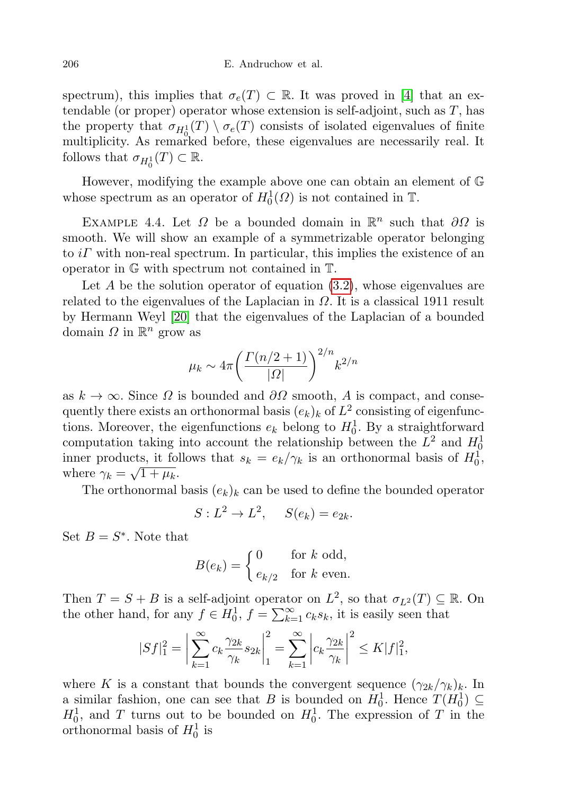spectrum), this implies that  $\sigma_e(T) \subset \mathbb{R}$ . It was proved in [\[4\]](#page-24-3) that an extendable (or proper) operator whose extension is self-adjoint, such as  $T$ , has the property that  $\sigma_{H_0^1}(T) \setminus \sigma_e(T)$  consists of isolated eigenvalues of finite multiplicity. As remarked before, these eigenvalues are necessarily real. It follows that  $\sigma_{H_0^1}(T) \subset \mathbb{R}$ .

However, modifying the example above one can obtain an element of G whose spectrum as an operator of  $H_0^1(\Omega)$  is not contained in  $\mathbb{T}$ .

<span id="page-13-0"></span>EXAMPLE 4.4. Let  $\Omega$  be a bounded domain in  $\mathbb{R}^n$  such that  $\partial\Omega$  is smooth. We will show an example of a symmetrizable operator belonging to  $i\Gamma$  with non-real spectrum. In particular, this implies the existence of an operator in G with spectrum not contained in T.

Let A be the solution operator of equation  $(3.2)$ , whose eigenvalues are related to the eigenvalues of the Laplacian in  $\Omega$ . It is a classical 1911 result by Hermann Weyl [\[20\]](#page-24-10) that the eigenvalues of the Laplacian of a bounded domain  $\Omega$  in  $\mathbb{R}^n$  grow as

$$
\mu_k \sim 4\pi \left(\frac{\Gamma(n/2+1)}{|\varOmega|}\right)^{2/n} k^{2/n}
$$

as  $k \to \infty$ . Since  $\Omega$  is bounded and  $\partial \Omega$  smooth, A is compact, and consequently there exists an orthonormal basis  $(e_k)_k$  of  $L^2$  consisting of eigenfunctions. Moreover, the eigenfunctions  $e_k$  belong to  $H_0^1$ . By a straightforward computation taking into account the relationship between the  $L^2$  and  $H_0^1$ inner products, it follows that  $s_k = e_k/\gamma_k$  is an orthonormal basis of  $H_0^1$ , where  $\gamma_k = \sqrt{1 + \mu_k}$ .

The orthonormal basis  $(e_k)_k$  can be used to define the bounded operator

$$
S: L^2 \to L^2, \quad S(e_k) = e_{2k}.
$$

Set  $B = S^*$ . Note that

$$
B(e_k) = \begin{cases} 0 & \text{for } k \text{ odd,} \\ e_{k/2} & \text{for } k \text{ even.} \end{cases}
$$

Then  $T = S + B$  is a self-adjoint operator on  $L^2$ , so that  $\sigma_{L^2}(T) \subseteq \mathbb{R}$ . On the other hand, for any  $f \in H_0^1$ ,  $f = \sum_{k=1}^{\infty} c_k s_k$ , it is easily seen that

$$
|Sf|_1^2 = \left| \sum_{k=1}^{\infty} c_k \frac{\gamma_{2k}}{\gamma_k} s_{2k} \right|_1^2 = \sum_{k=1}^{\infty} \left| c_k \frac{\gamma_{2k}}{\gamma_k} \right|^2 \le K|f|_1^2,
$$

where K is a constant that bounds the convergent sequence  $(\gamma_{2k}/\gamma_k)_k$ . In a similar fashion, one can see that B is bounded on  $H_0^1$ . Hence  $T(H_0^1) \subseteq$  $H_0^1$ , and T turns out to be bounded on  $H_0^1$ . The expression of T in the orthonormal basis of  $H_0^1$  is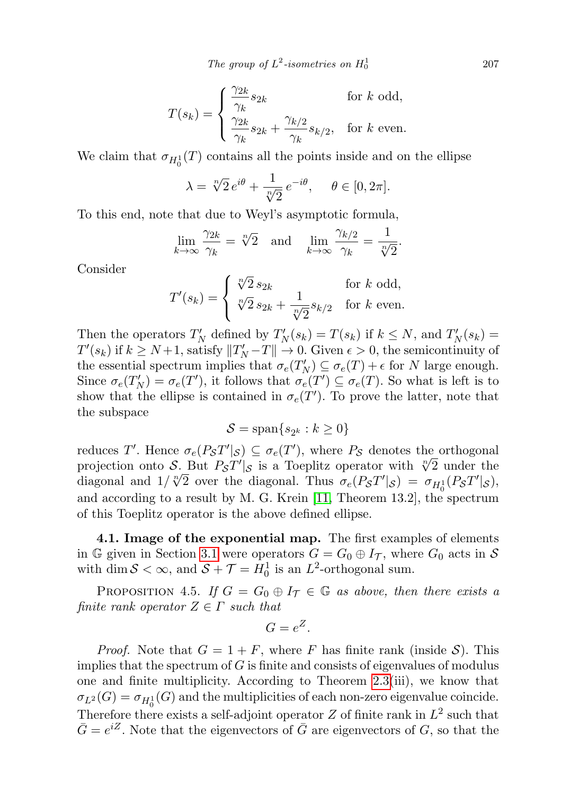The group of  $L^2$ -isometries on  $H_0^1$ 

$$
T(s_k) = \begin{cases} \frac{\gamma_{2k}}{\gamma_k} s_{2k} & \text{for } k \text{ odd,} \\ \frac{\gamma_{2k}}{\gamma_k} s_{2k} + \frac{\gamma_{k/2}}{\gamma_k} s_{k/2}, & \text{for } k \text{ even.} \end{cases}
$$

We claim that  $\sigma_{H_0^1}(T)$  contains all the points inside and on the ellipse

$$
\lambda = \sqrt[n]{2} e^{i\theta} + \frac{1}{\sqrt[n]{2}} e^{-i\theta}, \quad \theta \in [0, 2\pi].
$$

To this end, note that due to Weyl's asymptotic formula,

$$
\lim_{k \to \infty} \frac{\gamma_{2k}}{\gamma_k} = \sqrt[n]{2} \quad \text{and} \quad \lim_{k \to \infty} \frac{\gamma_{k/2}}{\gamma_k} = \frac{1}{\sqrt[n]{2}}.
$$

Consider

$$
T'(s_k) = \begin{cases} \sqrt[n]{2} s_{2k} & \text{for } k \text{ odd,} \\ \sqrt[n]{2} s_{2k} + \frac{1}{\sqrt[n]{2}} s_{k/2} & \text{for } k \text{ even.} \end{cases}
$$

Then the operators  $T'_N$  defined by  $T'_N(s_k) = T(s_k)$  if  $k \leq N$ , and  $T'_N(s_k) =$  $T'(s_k)$  if  $k \geq N+1$ , satisfy  $||T'_N-T|| \to 0$ . Given  $\epsilon > 0$ , the semicontinuity of the essential spectrum implies that  $\sigma_e(T_N') \subseteq \sigma_e(T) + \epsilon$  for N large enough. Since  $\sigma_e(T_N') = \sigma_e(T')$ , it follows that  $\sigma_e(T') \subseteq \sigma_e(T)$ . So what is left is to show that the ellipse is contained in  $\sigma_e(T')$ . To prove the latter, note that the subspace

$$
\mathcal{S} = \text{span}\{s_{2^k} : k \ge 0\}
$$

reduces T'. Hence  $\sigma_e(PST'|S) \subseteq \sigma_e(T')$ , where  $P_S$  denotes the orthogonal projection onto S. But  $P_{\mathcal{S}}T'|_{\mathcal{S}} \subseteq \sigma_e(T')$ , where  $P_{\mathcal{S}}$  denotes the orthogonal projection onto S. But  $P_{\mathcal{S}}T'|_{\mathcal{S}}$  is a Toeplitz operator with  $\sqrt[n]{2}$  under the projection onto S. But  $F_S I^* |_{S}$  is a Toephtz operator with  $\sqrt{2}$  under the diagonal and  $1/\sqrt[n]{2}$  over the diagonal. Thus  $\sigma_e(P_S T' |_{S}) = \sigma_{H_0^1}(P_S T' |_{S})$ , and according to a result by M. G. Krein [\[11,](#page-24-11) Theorem 13.2], the spectrum of this Toeplitz operator is the above defined ellipse.

4.1. Image of the exponential map. The first examples of elements in G given in Section [3.1](#page-4-0) were operators  $G = G_0 \oplus I_{\mathcal{T}}$ , where  $G_0$  acts in S with dim  $S < \infty$ , and  $S + \mathcal{T} = H_0^1$  is an  $L^2$ -orthogonal sum.

PROPOSITION 4.5. If  $G = G_0 \oplus I_{\mathcal{T}} \in \mathbb{G}$  as above, then there exists a finite rank operator  $Z \in \Gamma$  such that

$$
G=e^Z.
$$

*Proof.* Note that  $G = 1 + F$ , where F has finite rank (inside S). This implies that the spectrum of  $G$  is finite and consists of eigenvalues of modulus one and finite multiplicity. According to Theorem [2.3\(](#page-3-1)iii), we know that  $\sigma_{L^2}(G) = \sigma_{H_0^1}(G)$  and the multiplicities of each non-zero eigenvalue coincide. Therefore there exists a self-adjoint operator  $Z$  of finite rank in  $L^2$  such that  $\bar{G} = e^{iZ}$ . Note that the eigenvectors of  $\bar{G}$  are eigenvectors of  $G$ , so that the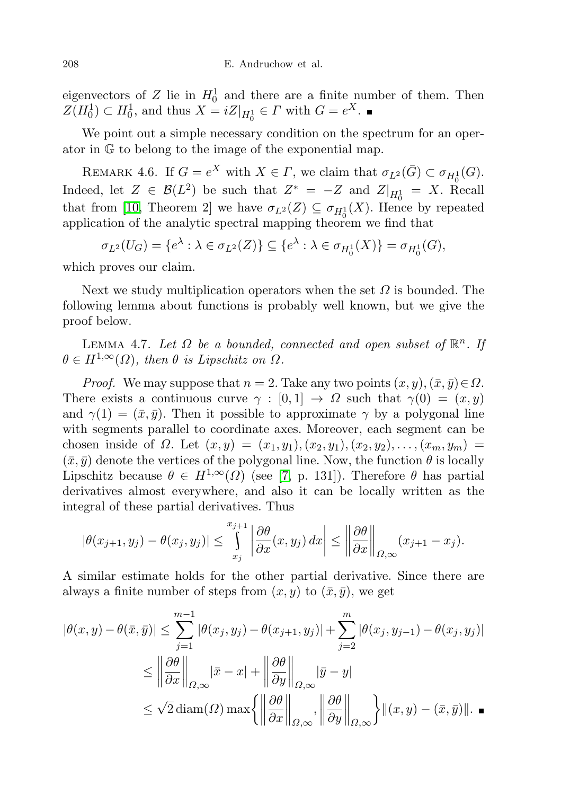eigenvectors of Z lie in  $H_0^1$  and there are a finite number of them. Then  $Z(H_0^1) \subset H_0^1$ , and thus  $X = iZ|_{H_0^1} \in \Gamma$  with  $G = e^X$ .

We point out a simple necessary condition on the spectrum for an operator in G to belong to the image of the exponential map.

REMARK 4.6. If  $G = e^X$  with  $X \in \Gamma$ , we claim that  $\sigma_{L^2}(\bar{G}) \subset \sigma_{H_0^1}(G)$ . Indeed, let  $Z \in \mathcal{B}(L^2)$  be such that  $Z^* = -Z$  and  $Z|_{H_0^1} = X$ . Recall that from [\[10,](#page-24-1) Theorem 2] we have  $\sigma_{L^2}(Z) \subseteq \sigma_{H_0^1}(X)$ . Hence by repeated application of the analytic spectral mapping theorem we find that

 $\sigma_{L^2}(U_G) = \{e^{\lambda} : \lambda \in \sigma_{L^2}(Z)\} \subseteq \{e^{\lambda} : \lambda \in \sigma_{H_0^1}(X)\} = \sigma_{H_0^1}(G),$ 

which proves our claim.

Next we study multiplication operators when the set  $\Omega$  is bounded. The following lemma about functions is probably well known, but we give the proof below.

<span id="page-15-1"></span>LEMMA 4.7. Let  $\Omega$  be a bounded, connected and open subset of  $\mathbb{R}^n$ . If  $\theta \in H^{1,\infty}(\Omega)$ , then  $\theta$  is Lipschitz on  $\Omega$ .

*Proof.* We may suppose that  $n = 2$ . Take any two points  $(x, y), (\bar{x}, \bar{y}) \in \Omega$ . There exists a continuous curve  $\gamma : [0,1] \to \Omega$  such that  $\gamma(0) = (x, y)$ and  $\gamma(1) = (\bar{x}, \bar{y})$ . Then it possible to approximate  $\gamma$  by a polygonal line with segments parallel to coordinate axes. Moreover, each segment can be chosen inside of  $\Omega$ . Let  $(x, y) = (x_1, y_1), (x_2, y_1), (x_2, y_2), \ldots, (x_m, y_m) =$  $(\bar{x}, \bar{y})$  denote the vertices of the polygonal line. Now, the function  $\theta$  is locally Lipschitz because  $\theta \in H^{1,\infty}(\Omega)$  (see [\[7,](#page-24-12) p. 131]). Therefore  $\theta$  has partial derivatives almost everywhere, and also it can be locally written as the integral of these partial derivatives. Thus

$$
|\theta(x_{j+1}, y_j) - \theta(x_j, y_j)| \le \int_{x_j}^{x_{j+1}} \left| \frac{\partial \theta}{\partial x}(x, y_j) \, dx \right| \le \left\| \frac{\partial \theta}{\partial x} \right\|_{\Omega, \infty} (x_{j+1} - x_j).
$$

A similar estimate holds for the other partial derivative. Since there are always a finite number of steps from  $(x, y)$  to  $(\bar{x}, \bar{y})$ , we get

<span id="page-15-0"></span>
$$
|\theta(x,y) - \theta(\bar{x}, \bar{y})| \leq \sum_{j=1}^{m-1} |\theta(x_j, y_j) - \theta(x_{j+1}, y_j)| + \sum_{j=2}^{m} |\theta(x_j, y_{j-1}) - \theta(x_j, y_j)|
$$
  
\n
$$
\leq \left\| \frac{\partial \theta}{\partial x} \right\|_{\Omega, \infty} |\bar{x} - x| + \left\| \frac{\partial \theta}{\partial y} \right\|_{\Omega, \infty} |\bar{y} - y|
$$
  
\n
$$
\leq \sqrt{2} \operatorname{diam}(\Omega) \max \left\{ \left\| \frac{\partial \theta}{\partial x} \right\|_{\Omega, \infty}, \left\| \frac{\partial \theta}{\partial y} \right\|_{\Omega, \infty} \right\} ||(x, y) - (\bar{x}, \bar{y})||. \blacksquare
$$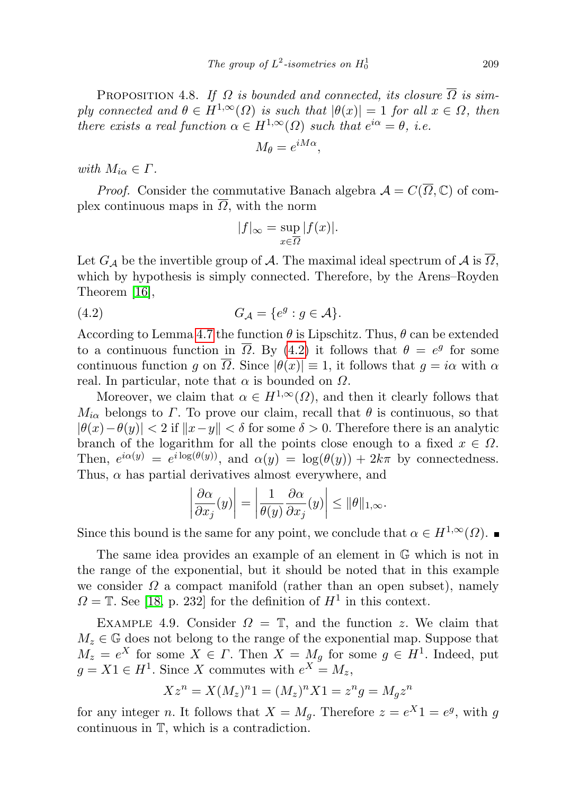PROPOSITION 4.8. If  $\Omega$  is bounded and connected, its closure  $\overline{\Omega}$  is simply connected and  $\theta \in H^{1,\infty}(\Omega)$  is such that  $|\theta(x)| = 1$  for all  $x \in \Omega$ , then there exists a real function  $\alpha \in H^{1,\infty}(\Omega)$  such that  $e^{i\alpha} = \theta$ , i.e.

$$
M_{\theta} = e^{iM\alpha},
$$

with  $M_{i\alpha} \in \Gamma$ .

*Proof.* Consider the commutative Banach algebra  $\mathcal{A} = C(\overline{\Omega}, \mathbb{C})$  of complex continuous maps in  $\overline{\Omega}$ , with the norm

<span id="page-16-1"></span>
$$
|f|_{\infty} = \sup_{x \in \overline{\Omega}} |f(x)|.
$$

Let  $G_{\mathcal{A}}$  be the invertible group of  $\mathcal{A}$ . The maximal ideal spectrum of  $\mathcal{A}$  is  $\overline{\Omega}$ , which by hypothesis is simply connected. Therefore, by the Arens–Royden Theorem [\[16\]](#page-24-13),

$$
(4.2) \tG_{\mathcal{A}} = \{e^g : g \in \mathcal{A}\}.
$$

According to Lemma [4.7](#page-15-1) the function  $\theta$  is Lipschitz. Thus,  $\theta$  can be extended to a continuous function in  $\overline{\Omega}$ . By [\(4.2\)](#page-16-1) it follows that  $\theta = e^g$  for some continuous function g on  $\Omega$ . Since  $|\theta(x)| \equiv 1$ , it follows that  $g = i\alpha$  with  $\alpha$ real. In particular, note that  $\alpha$  is bounded on  $\Omega$ .

Moreover, we claim that  $\alpha \in H^{1,\infty}(\Omega)$ , and then it clearly follows that  $M_{i\alpha}$  belongs to  $\Gamma$ . To prove our claim, recall that  $\theta$  is continuous, so that  $|\theta(x)-\theta(y)| < 2$  if  $||x-y|| < \delta$  for some  $\delta > 0$ . Therefore there is an analytic branch of the logarithm for all the points close enough to a fixed  $x \in \Omega$ . Then,  $e^{i\alpha(y)} = e^{i\log(\theta(y))}$ , and  $\alpha(y) = \log(\theta(y)) + 2k\pi$  by connectedness. Thus,  $\alpha$  has partial derivatives almost everywhere, and

$$
\left|\frac{\partial \alpha}{\partial x_j}(y)\right| = \left|\frac{1}{\theta(y)}\frac{\partial \alpha}{\partial x_j}(y)\right| \le \|\theta\|_{1,\infty}.
$$

Since this bound is the same for any point, we conclude that  $\alpha \in H^{1,\infty}(\Omega)$ .

The same idea provides an example of an element in G which is not in the range of the exponential, but it should be noted that in this example we consider  $\Omega$  a compact manifold (rather than an open subset), namely  $\Omega = \mathbb{T}$ . See [\[18,](#page-24-6) p. 232] for the definition of  $H^1$  in this context.

<span id="page-16-0"></span>EXAMPLE 4.9. Consider  $\Omega = \mathbb{T}$ , and the function z. We claim that  $M_z \in \mathbb{G}$  does not belong to the range of the exponential map. Suppose that  $M_z = e^X$  for some  $X \in \Gamma$ . Then  $X = M_g$  for some  $g \in H^1$ . Indeed, put  $g = X1 \in H^1$ . Since X commutes with  $e^X = M_z$ ,

$$
Xz^{n} = X(M_{z})^{n} = (M_{z})^{n}X1 = z^{n}g = M_{g}z^{n}
$$

for any integer *n*. It follows that  $X = M_g$ . Therefore  $z = e^X 1 = e^g$ , with g continuous in T, which is a contradiction.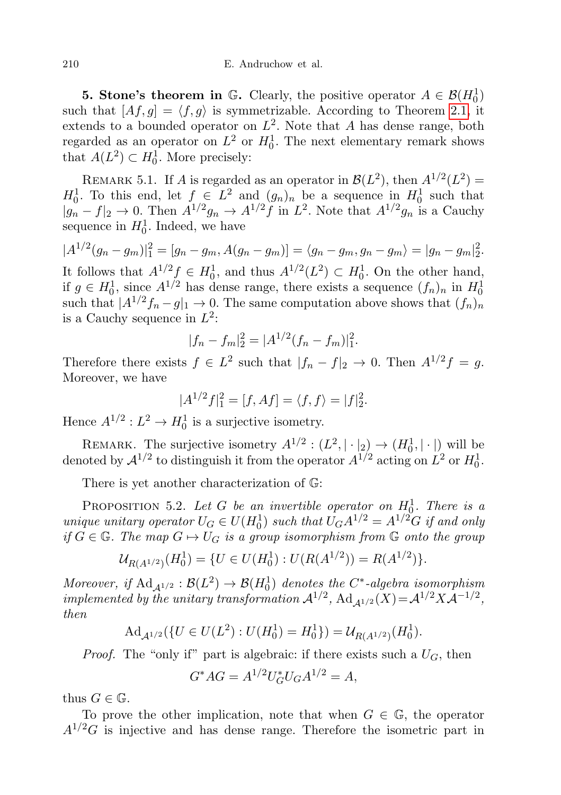<span id="page-17-0"></span>**5. Stone's theorem in**  $\mathbb{G}$ . Clearly, the positive operator  $A \in \mathcal{B}(H_0^1)$ such that  $[A f, g] = \langle f, g \rangle$  is symmetrizable. According to Theorem [2.1,](#page-2-1) it extends to a bounded operator on  $L^2$ . Note that A has dense range, both regarded as an operator on  $L^2$  or  $H_0^1$ . The next elementary remark shows that  $A(L^2) \subset H_0^1$ . More precisely:

REMARK 5.1. If A is regarded as an operator in  $\mathcal{B}(L^2)$ , then  $A^{1/2}(L^2)$  =  $H_0^1$ . To this end, let  $f \in L^2$  and  $(g_n)_n$  be a sequence in  $H_0^1$  such that  $|g_n - f|_2 \to 0$ . Then  $A^{1/2}g_n \to A^{1/2}f$  in  $L^2$ . Note that  $A^{1/2}g_n$  is a Cauchy sequence in  $H_0^1$ . Indeed, we have

 $|A^{1/2}(g_n - g_m)|_1^2 = [g_n - g_m, A(g_n - g_m)] = \langle g_n - g_m, g_n - g_m \rangle = |g_n - g_m|_2^2.$ It follows that  $A^{1/2} f \in H_0^1$ , and thus  $A^{1/2}(L^2) \subset H_0^1$ . On the other hand, if  $g \in H_0^1$ , since  $A^{1/2}$  has dense range, there exists a sequence  $(f_n)_n$  in  $H_0^1$ such that  $|A^{1/2}f_n - g|_1 \to 0$ . The same computation above shows that  $(f_n)_n$ is a Cauchy sequence in  $L^2$ :

$$
|f_n - f_m|^2 = |A^{1/2}(f_n - f_m)|^2.
$$

Therefore there exists  $f \in L^2$  such that  $|f_n - f|_2 \to 0$ . Then  $A^{1/2}f = g$ . Moreover, we have

$$
|A^{1/2}f|_{1}^{2} = [f, Af] = \langle f, f \rangle = |f|_{2}^{2}.
$$

Hence  $A^{1/2}: L^2 \to H_0^1$  is a surjective isometry.

REMARK. The surjective isometry  $A^{1/2} : (L^2, |\cdot|_2) \to (H_0^1, |\cdot|)$  will be denoted by  $\mathcal{A}^{1/2}$  to distinguish it from the operator  $A^{1/2}$  acting on  $L^2$  or  $H_0^1$ .

There is yet another characterization of G:

<span id="page-17-1"></span>PROPOSITION 5.2. Let G be an invertible operator on  $H_0^1$ . There is a unique unitary operator  $U_G \in U(H_0^1)$  such that  $U_G A^{1/2} = A^{1/2} G$  if and only if  $G \in \mathbb{G}$ . The map  $G \mapsto U_G$  is a group isomorphism from  $\mathbb{G}$  onto the group

$$
\mathcal{U}_{R(A^{1/2})}(H_0^1) = \{ U \in U(H_0^1) : U(R(A^{1/2})) = R(A^{1/2}) \}.
$$

Moreover, if  $\operatorname{Ad}_{\mathcal{A}^{1/2}}:\mathcal{B}(L^2)\to\mathcal{B}(H^1_0)$  denotes the C<sup>\*</sup>-algebra isomorphism implemented by the unitary transformation  $\mathcal{A}^{1/2}$ ,  $\mathrm{Ad}_{\mathcal{A}^{1/2}}(X) = \mathcal{A}^{1/2} X \mathcal{A}^{-1/2}$ , then

$$
\mathrm{Ad}_{\mathcal{A}^{1/2}}(\{U \in U(L^2) : U(H_0^1) = H_0^1\}) = \mathcal{U}_{R(A^{1/2})}(H_0^1).
$$

*Proof.* The "only if" part is algebraic: if there exists such a  $U_G$ , then

$$
G^*AG = A^{1/2}U_G^*U_GA^{1/2} = A,
$$

thus  $G \in \mathbb{G}$ .

To prove the other implication, note that when  $G \in \mathbb{G}$ , the operator  $A^{1/2}G$  is injective and has dense range. Therefore the isometric part in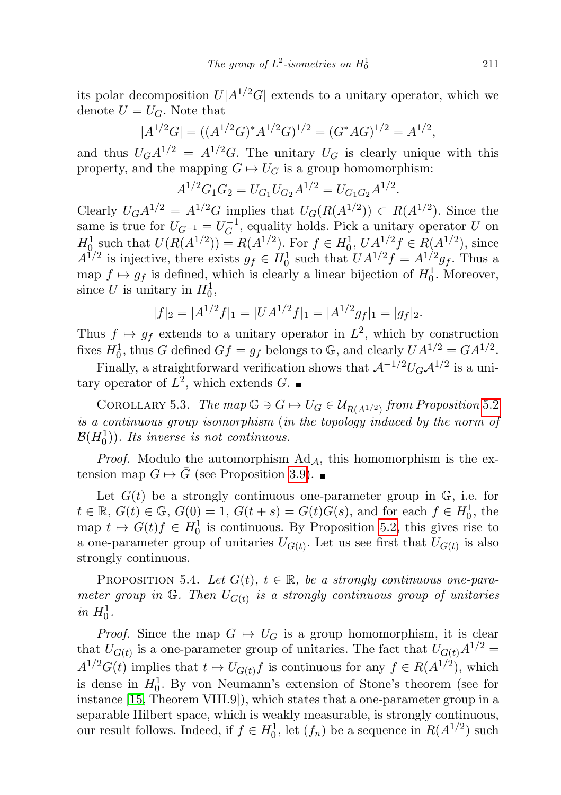its polar decomposition  $U|A^{1/2}G|$  extends to a unitary operator, which we denote  $U = U_G$ . Note that

$$
|A^{1/2}G| = ((A^{1/2}G)^*A^{1/2}G)^{1/2} = (G^*AG)^{1/2} = A^{1/2},
$$

and thus  $U_G A^{1/2} = A^{1/2} G$ . The unitary  $U_G$  is clearly unique with this property, and the mapping  $G \mapsto U_G$  is a group homomorphism:

$$
A^{1/2}G_1G_2 = U_{G_1}U_{G_2}A^{1/2} = U_{G_1G_2}A^{1/2}.
$$

Clearly  $U_G A^{1/2} = A^{1/2} G$  implies that  $U_G(R(A^{1/2})) \subset R(A^{1/2})$ . Since the same is true for  $U_{G^{-1}} = U_G^{-1}$  $\mathcal{L}_G^{-1}$ , equality holds. Pick a unitary operator U on  $H_0^1$  such that  $U(R(A^{1/2})) = R(A^{1/2})$ . For  $f \in H_0^1$ ,  $U A^{1/2} f \in R(A^{1/2})$ , since  $A^{1/2}$  is injective, there exists  $g_f \in H_0^1$  such that  $UA^{1/2}f = A^{1/2}g_f$ . Thus a map  $f \mapsto g_f$  is defined, which is clearly a linear bijection of  $H_0^1$ . Moreover, since U is unitary in  $H_0^1$ ,

$$
|f|_2 = |A^{1/2}f|_1 = |UA^{1/2}f|_1 = |A^{1/2}g_f|_1 = |g_f|_2.
$$

Thus  $f \mapsto gf$  extends to a unitary operator in  $L^2$ , which by construction fixes  $H_0^1$ , thus G defined  $Gf = g_f$  belongs to G, and clearly  $UA^{1/2} = GA^{1/2}$ .

Finally, a straightforward verification shows that  $\mathcal{A}^{-1/2}U_G\mathcal{A}^{1/2}$  is a unitary operator of  $L^2$ , which extends G.

COROLLARY 5.3. The map  $\mathbb{G} \ni G \mapsto U_G \in \mathcal{U}_{R(A^{1/2})}$  from Proposition [5.2](#page-17-1) is a continuous group isomorphism (in the topology induced by the norm of  $\mathcal{B}(H^1_0)$ ). Its inverse is not continuous.

*Proof.* Modulo the automorphism  $Ad<sub>A</sub>$ , this homomorphism is the extension map  $G \mapsto \overline{G}$  (see Proposition [3.9\)](#page-9-0).

Let  $G(t)$  be a strongly continuous one-parameter group in  $\mathbb{G}$ , i.e. for  $t \in \mathbb{R}, G(t) \in \mathbb{G}, G(0) = 1, G(t + s) = G(t)G(s)$ , and for each  $f \in H_0^1$ , the map  $t \mapsto G(t)f \in H_0^1$  is continuous. By Proposition [5.2,](#page-17-1) this gives rise to a one-parameter group of unitaries  $U_{G(t)}$ . Let us see first that  $U_{G(t)}$  is also strongly continuous.

PROPOSITION 5.4. Let  $G(t)$ ,  $t \in \mathbb{R}$ , be a strongly continuous one-parameter group in  $\mathbb{G}$ . Then  $U_{G(t)}$  is a strongly continuous group of unitaries in  $H_0^1$ .

*Proof.* Since the map  $G \mapsto U_G$  is a group homomorphism, it is clear that  $U_{G(t)}$  is a one-parameter group of unitaries. The fact that  $U_{G(t)}A^{1/2} =$  $A^{1/2}G(t)$  implies that  $t \mapsto U_{G(t)}f$  is continuous for any  $f \in R(A^{1/2})$ , which is dense in  $H_0^1$ . By von Neumann's extension of Stone's theorem (see for instance [\[15,](#page-24-14) Theorem VIII.9]), which states that a one-parameter group in a separable Hilbert space, which is weakly measurable, is strongly continuous, our result follows. Indeed, if  $f \in H_0^1$ , let  $(f_n)$  be a sequence in  $R(A^{1/2})$  such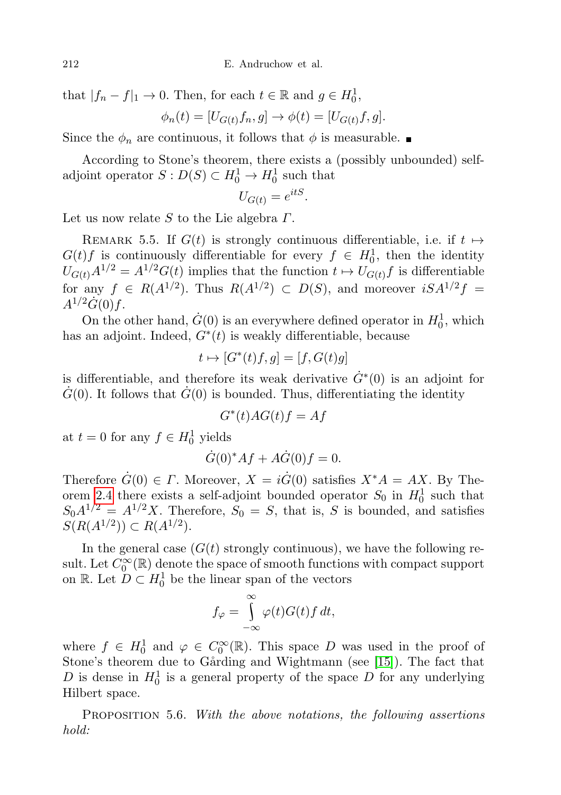that  $|f_n - f|_1 \to 0$ . Then, for each  $t \in \mathbb{R}$  and  $g \in H_0^1$ ,

$$
\phi_n(t) = [U_{G(t)}f_n, g] \to \phi(t) = [U_{G(t)}f, g].
$$

Since the  $\phi_n$  are continuous, it follows that  $\phi$  is measurable.

According to Stone's theorem, there exists a (possibly unbounded) selfadjoint operator  $S: D(S) \subset H_0^1 \to H_0^1$  such that

$$
U_{G(t)} = e^{itS}.
$$

Let us now relate  $S$  to the Lie algebra  $\Gamma$ .

REMARK 5.5. If  $G(t)$  is strongly continuous differentiable, i.e. if  $t \mapsto$  $G(t)f$  is continuously differentiable for every  $f \in H_0^1$ , then the identity  $U_{G(t)}A^{1/2} = A^{1/2}G(t)$  implies that the function  $t \mapsto U_{G(t)}f$  is differentiable for any  $f \in R(A^{1/2})$ . Thus  $R(A^{1/2}) \subset D(S)$ , and moreover  $iSA^{1/2}f =$  $A^{1/2}\dot{G}(0)f$ .

On the other hand,  $\dot{G}(0)$  is an everywhere defined operator in  $H_0^1$ , which has an adjoint. Indeed,  $G^*(t)$  is weakly differentiable, because

$$
t \mapsto [G^*(t)f, g] = [f, G(t)g]
$$

is differentiable, and therefore its weak derivative  $\dot{G}^*(0)$  is an adjoint for  $\dot{G}(0)$ . It follows that  $\dot{G}(0)$  is bounded. Thus, differentiating the identity

$$
G^*(t)AG(t)f = Af
$$

at  $t = 0$  for any  $f \in H_0^1$  yields

$$
\dot{G}(0)^* Af + A\dot{G}(0)f = 0.
$$

Therefore  $\dot{G}(0) \in \Gamma$ . Moreover,  $X = i\dot{G}(0)$  satisfies  $X^*A = AX$ . By The-orem [2.4](#page-3-2) there exists a self-adjoint bounded operator  $S_0$  in  $H_0^1$  such that  $S_0A^{1/2} = A^{1/2}X$ . Therefore,  $S_0 = S$ , that is, S is bounded, and satisfies  $S(R(A^{1/2})) \subset R(A^{1/2}).$ 

In the general case  $(G(t))$  strongly continuous), we have the following result. Let  $C_0^{\infty}(\mathbb{R})$  denote the space of smooth functions with compact support on R. Let  $D \subset H_0^1$  be the linear span of the vectors

$$
f_{\varphi} = \int_{-\infty}^{\infty} \varphi(t) G(t) f dt,
$$

where  $f \in H_0^1$  and  $\varphi \in C_0^{\infty}(\mathbb{R})$ . This space D was used in the proof of Stone's theorem due to Gårding and Wightmann (see [\[15\]](#page-24-14)). The fact that D is dense in  $H_0^1$  is a general property of the space D for any underlying Hilbert space.

PROPOSITION 5.6. With the above notations, the following assertions hold: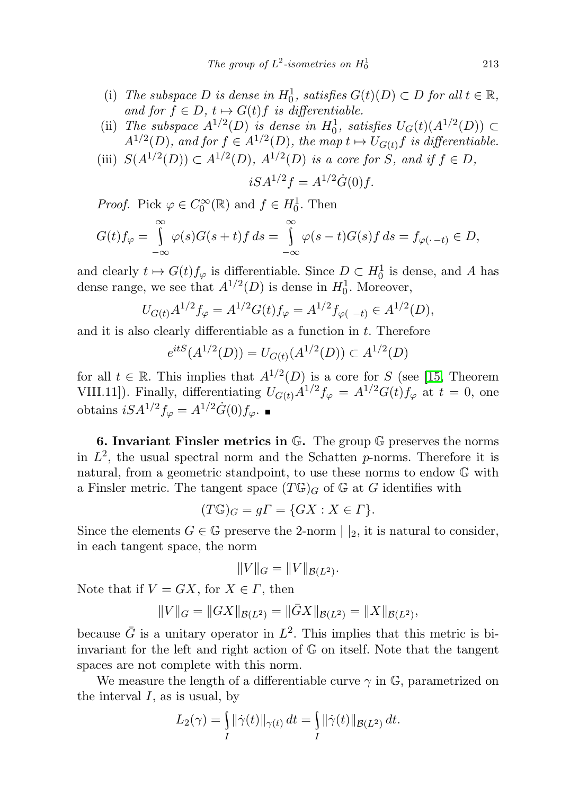- (i) The subspace D is dense in  $H_0^1$ , satisfies  $G(t)(D) \subset D$  for all  $t \in \mathbb{R}$ , and for  $f \in D$ ,  $t \mapsto G(t)f$  is differentiable.
- (ii) The subspace  $A^{1/2}(D)$  is dense in  $H_0^1$ , satisfies  $U_G(t)(A^{1/2}(D)) \subset$  $A^{1/2}(D)$ , and for  $f \in A^{1/2}(D)$ , the map  $t \mapsto U_{G(t)}f$  is differentiable.
- (iii)  $S(A^{1/2}(D)) \subset A^{1/2}(D)$ ,  $A^{1/2}(D)$  is a core for S, and if  $f \in D$ ,

$$
iSA^{1/2}f = A^{1/2}\dot{G}(0)f.
$$

*Proof.* Pick  $\varphi \in C_0^{\infty}(\mathbb{R})$  and  $f \in H_0^1$ . Then

$$
G(t)f_{\varphi} = \int_{-\infty}^{\infty} \varphi(s)G(s+t)f ds = \int_{-\infty}^{\infty} \varphi(s-t)G(s)f ds = f_{\varphi(\cdot-t)} \in D,
$$

and clearly  $t \mapsto G(t)f_{\varphi}$  is differentiable. Since  $D \subset H_0^1$  is dense, and A has dense range, we see that  $A^{1/2}(D)$  is dense in  $H_0^1$ . Moreover,

$$
U_{G(t)}A^{1/2}f_{\varphi} = A^{1/2}G(t)f_{\varphi} = A^{1/2}f_{\varphi(-t)} \in A^{1/2}(D),
$$

and it is also clearly differentiable as a function in  $t$ . Therefore

$$
e^{itS}(A^{1/2}(D)) = U_{G(t)}(A^{1/2}(D)) \subset A^{1/2}(D)
$$

for all  $t \in \mathbb{R}$ . This implies that  $A^{1/2}(D)$  is a core for S (see [\[15,](#page-24-14) Theorem VIII.11]). Finally, differentiating  $U_{G(t)}A^{1/2}f_{\varphi} = A^{1/2}G(t)f_{\varphi}$  at  $t = 0$ , one obtains  $iSA^{1/2}f_{\varphi} = A^{1/2}\dot{G}(0)f_{\varphi}$ . ■

<span id="page-20-0"></span>6. Invariant Finsler metrics in G. The group G preserves the norms in  $L^2$ , the usual spectral norm and the Schatten p-norms. Therefore it is natural, from a geometric standpoint, to use these norms to endow G with a Finsler metric. The tangent space  $(T\mathbb{G})_G$  of  $\mathbb{G}$  at G identifies with

$$
(T\mathbb{G})_G = g\Gamma = \{GX : X \in \Gamma\}.
$$

Since the elements  $G \in \mathbb{G}$  preserve the 2-norm  $||_2$ , it is natural to consider, in each tangent space, the norm

$$
||V||_G = ||V||_{\mathcal{B}(L^2)}.
$$

Note that if  $V = GX$ , for  $X \in \Gamma$ , then

$$
||V||_G = ||GX||_{\mathcal{B}(L^2)} = ||\overline{G}X||_{\mathcal{B}(L^2)} = ||X||_{\mathcal{B}(L^2)},
$$

because  $\bar{G}$  is a unitary operator in  $L^2$ . This implies that this metric is biinvariant for the left and right action of G on itself. Note that the tangent spaces are not complete with this norm.

We measure the length of a differentiable curve  $\gamma$  in  $\mathbb{G}$ , parametrized on the interval  $I$ , as is usual, by

$$
L_2(\gamma) = \int_I ||\dot{\gamma}(t)||_{\gamma(t)} dt = \int_I ||\dot{\gamma}(t)||_{\mathcal{B}(L^2)} dt.
$$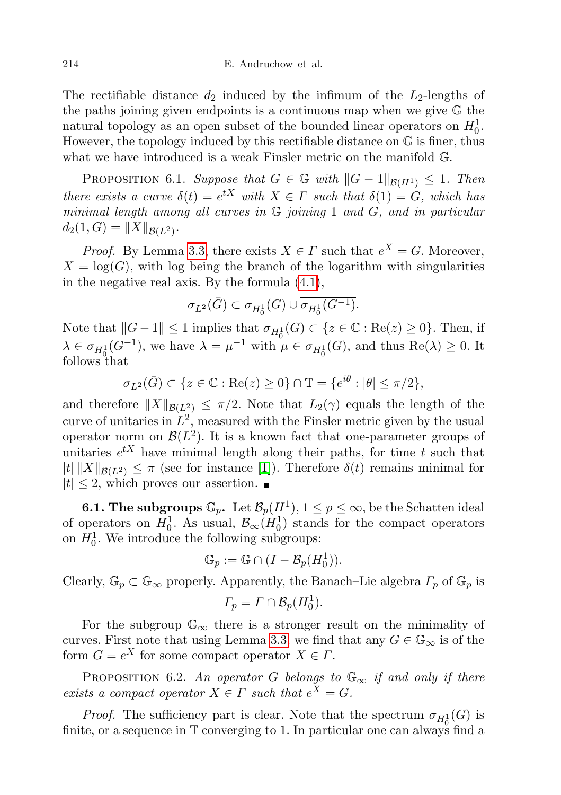The rectifiable distance  $d_2$  induced by the infimum of the  $L_2$ -lengths of the paths joining given endpoints is a continuous map when we give G the natural topology as an open subset of the bounded linear operators on  $H_0^1$ . However, the topology induced by this rectifiable distance on G is finer, thus what we have introduced is a weak Finsler metric on the manifold G.

<span id="page-21-0"></span>PROPOSITION 6.1. Suppose that  $G \in \mathbb{G}$  with  $||G - 1||_{\mathcal{B}(H^1)} \leq 1$ . Then there exists a curve  $\delta(t) = e^{tX}$  with  $X \in \Gamma$  such that  $\delta(1) = G$ , which has minimal length among all curves in  $G$  joining 1 and  $G$ , and in particular  $d_2(1, G) = ||X||_{\mathcal{B}(L^2)}.$ 

*Proof.* By Lemma [3.3,](#page-5-1) there exists  $X \in \Gamma$  such that  $e^X = G$ . Moreover,  $X = \log(G)$ , with log being the branch of the logarithm with singularities in the negative real axis. By the formula [\(4.1\)](#page-11-0),

$$
\sigma_{L^2}(\bar{G})\subset \sigma_{H^1_0}(G)\cup \overline{\sigma_{H^1_0}(G^{-1})}.
$$

Note that  $||G - 1|| \le 1$  implies that  $\sigma_{H_0^1}(G) \subset \{z \in \mathbb{C} : \text{Re}(z) \ge 0\}$ . Then, if  $\lambda \in \sigma_{H_0^1}(G^{-1}),$  we have  $\lambda = \mu^{-1}$  with  $\mu \in \sigma_{H_0^1}(G)$ , and thus  $\text{Re}(\lambda) \geq 0$ . It follows that

$$
\sigma_{L^2}(\bar{G}) \subset \{ z \in \mathbb{C} : \text{Re}(z) \ge 0 \} \cap \mathbb{T} = \{ e^{i\theta} : |\theta| \le \pi/2 \},\
$$

and therefore  $||X||_{\mathcal{B}(L^2)} \leq \pi/2$ . Note that  $L_2(\gamma)$  equals the length of the curve of unitaries in  $L^2$ , measured with the Finsler metric given by the usual operator norm on  $\mathcal{B}(L^2)$ . It is a known fact that one-parameter groups of unitaries  $e^{tX}$  have minimal length along their paths, for time t such that  $|t| \|X\|_{\mathcal{B}(L^2)} \leq \pi$  (see for instance [\[1\]](#page-23-0)). Therefore  $\delta(t)$  remains minimal for  $|t| \leq 2$ , which proves our assertion.

**6.1. The subgroups**  $\mathbb{G}_p$ . Let  $\mathcal{B}_p(H^1), 1 \leq p \leq \infty$ , be the Schatten ideal of operators on  $H_0^1$ . As usual,  $\mathcal{B}_{\infty}(H_0^1)$  stands for the compact operators on  $H_0^1$ . We introduce the following subgroups:

$$
\mathbb{G}_p := \mathbb{G} \cap (I - \mathcal{B}_p(H_0^1)).
$$

Clearly,  $\mathbb{G}_p \subset \mathbb{G}_{\infty}$  properly. Apparently, the Banach–Lie algebra  $\Gamma_p$  of  $\mathbb{G}_p$  is

$$
\Gamma_p = \Gamma \cap \mathcal{B}_p(H_0^1).
$$

For the subgroup  $\mathbb{G}_{\infty}$  there is a stronger result on the minimality of curves. First note that using Lemma [3.3,](#page-5-1) we find that any  $G \in \mathbb{G}_{\infty}$  is of the form  $G = e^X$  for some compact operator  $X \in \Gamma$ .

<span id="page-21-1"></span>PROPOSITION 6.2. An operator G belongs to  $\mathbb{G}_{\infty}$  if and only if there exists a compact operator  $X \in \Gamma$  such that  $e^X = G$ .

*Proof.* The sufficiency part is clear. Note that the spectrum  $\sigma_{H_0^1}(G)$  is finite, or a sequence in  $\mathbb T$  converging to 1. In particular one can always find a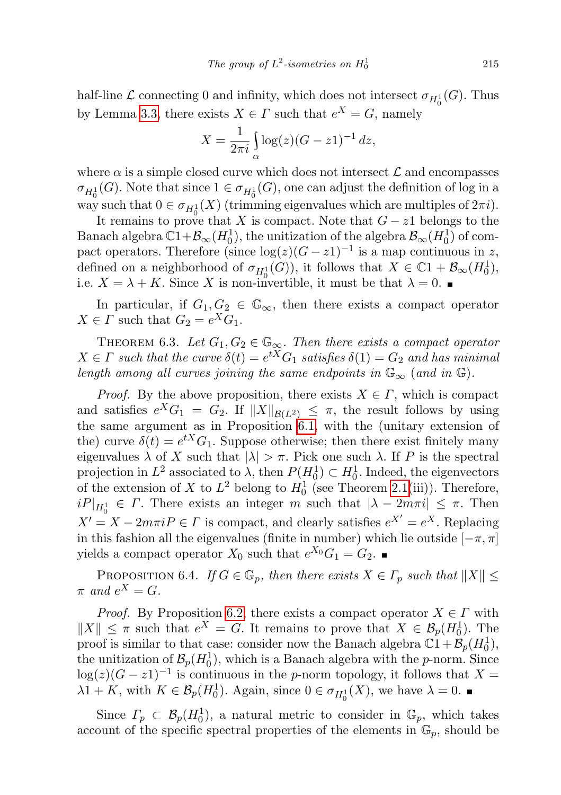half-line  $\mathcal L$  connecting 0 and infinity, which does not intersect  $\sigma_{H_0^1}(G)$ . Thus by Lemma [3.3,](#page-5-1) there exists  $X \in \Gamma$  such that  $e^X = G$ , namely

$$
X = \frac{1}{2\pi i} \int_{\alpha} \log(z) (G - z1)^{-1} dz,
$$

where  $\alpha$  is a simple closed curve which does not intersect  $\mathcal L$  and encompasses  $\sigma_{H_0^1}(G)$ . Note that since  $1 \in \sigma_{H_0^1}(G)$ , one can adjust the definition of log in a way such that  $0 \in \sigma_{H_0^1}(X)$  (trimming eigenvalues which are multiples of  $2\pi i$ ).

It remains to prove that X is compact. Note that  $G - z1$  belongs to the Banach algebra  $\mathbb{C}1 + \mathcal{B}_{\infty}(H_0^1)$ , the unitization of the algebra  $\mathcal{B}_{\infty}(H_0^1)$  of compact operators. Therefore (since  $log(z)(G - z1)^{-1}$  is a map continuous in z, defined on a neighborhood of  $\sigma_{H_0^1}(G)$ , it follows that  $X \in \mathbb{C}^1 + \mathcal{B}_{\infty}(H_0^1)$ , i.e.  $X = \lambda + K$ . Since X is non-invertible, it must be that  $\lambda = 0$ .

In particular, if  $G_1, G_2 \in \mathbb{G}_{\infty}$ , then there exists a compact operator  $X \in \Gamma$  such that  $G_2 = e^X G_1$ .

<span id="page-22-0"></span>THEOREM 6.3. Let  $G_1, G_2 \in \mathbb{G}_{\infty}$ . Then there exists a compact operator  $X \in \Gamma$  such that the curve  $\delta(t) = e^{tX} G_1$  satisfies  $\delta(1) = G_2$  and has minimal length among all curves joining the same endpoints in  $\mathbb{G}_{\infty}$  (and in  $\mathbb{G}$ ).

*Proof.* By the above proposition, there exists  $X \in \Gamma$ , which is compact and satisfies  $e^X G_1 = G_2$ . If  $||X||_{\mathcal{B}(L^2)} \leq \pi$ , the result follows by using the same argument as in Proposition [6.1,](#page-21-0) with the (unitary extension of the) curve  $\delta(t) = e^{tX} G_1$ . Suppose otherwise; then there exist finitely many eigenvalues  $\lambda$  of X such that  $|\lambda| > \pi$ . Pick one such  $\lambda$ . If P is the spectral projection in  $L^2$  associated to  $\lambda$ , then  $P(H_0^1) \subset H_0^1$ . Indeed, the eigenvectors of the extension of X to  $L^2$  belong to  $H_0^1$  (see Theorem [2.1\(](#page-2-1)iii)). Therefore,  $iP|_{H_0^1} \in \Gamma$ . There exists an integer m such that  $|\lambda - 2m\pi i| \leq \pi$ . Then  $X' = X - 2m\pi i P \in \Gamma$  is compact, and clearly satisfies  $e^{X'} = e^{X}$ . Replacing in this fashion all the eigenvalues (finite in number) which lie outside  $[-\pi, \pi]$ yields a compact operator  $X_0$  such that  $e^{X_0}G_1 = G_2$ .

<span id="page-22-1"></span>PROPOSITION 6.4. If  $G \in \mathbb{G}_p$ , then there exists  $X \in \Gamma_p$  such that  $||X|| \leq$  $\pi$  and  $e^X = G$ .

*Proof.* By Proposition [6.2,](#page-21-1) there exists a compact operator  $X \in \Gamma$  with  $||X|| \leq \pi$  such that  $e^X = G$ . It remains to prove that  $X \in \mathcal{B}_p(H_0^1)$ . The proof is similar to that case: consider now the Banach algebra  $\mathbb{C}1 + \mathcal{B}_p(H_0^1)$ , the unitization of  $\mathcal{B}_p(H_0^1)$ , which is a Banach algebra with the *p*-norm. Since  $log(z)(G-z1)^{-1}$  is continuous in the p-norm topology, it follows that X =  $\lambda 1 + K$ , with  $K \in \mathcal{B}_p(H_0^1)$ . Again, since  $0 \in \sigma_{H_0^1}(X)$ , we have  $\lambda = 0$ .

Since  $\Gamma_p \subset \mathcal{B}_p(H_0^1)$ , a natural metric to consider in  $\mathbb{G}_p$ , which takes account of the specific spectral properties of the elements in  $\mathbb{G}_p$ , should be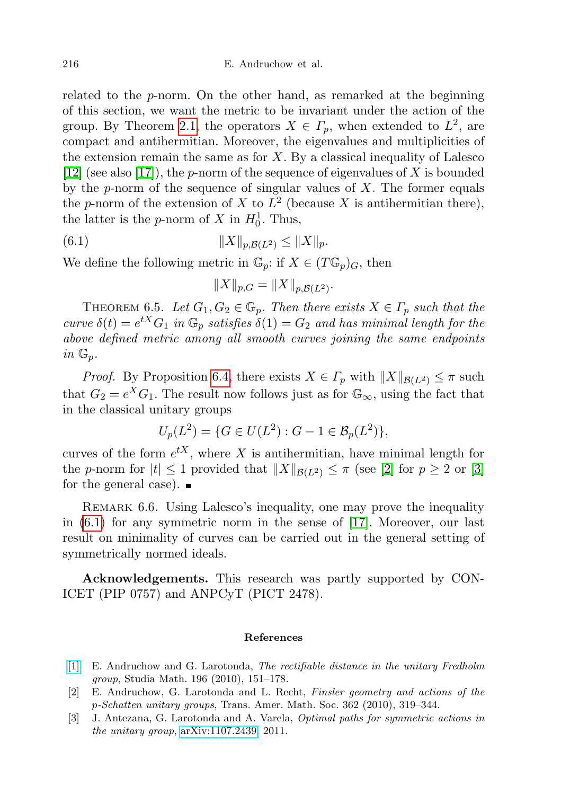related to the p-norm. On the other hand, as remarked at the beginning of this section, we want the metric to be invariant under the action of the group. By Theorem [2.1,](#page-2-1) the operators  $X \in \Gamma_p$ , when extended to  $L^2$ , are compact and antihermitian. Moreover, the eigenvalues and multiplicities of the extension remain the same as for  $X$ . By a classical inequality of Lalesco [\[12\]](#page-24-15) (see also [\[17\]](#page-24-16)), the *p*-norm of the sequence of eigenvalues of X is bounded by the p-norm of the sequence of singular values of  $X$ . The former equals the p-norm of the extension of X to  $L^2$  (because X is antihermitian there), the latter is the *p*-norm of X in  $H_0^1$ . Thus,

(6.1) 
$$
||X||_{p,\mathcal{B}(L^2)} \le ||X||_p.
$$

We define the following metric in  $\mathbb{G}_p$ : if  $X \in (T\mathbb{G}_p)_G$ , then

<span id="page-23-3"></span>
$$
||X||_{p,G} = ||X||_{p,\mathcal{B}(L^2)}.
$$

THEOREM 6.5. Let  $G_1, G_2 \in \mathbb{G}_p$ . Then there exists  $X \in \Gamma_p$  such that the curve  $\delta(t) = e^{tX} G_1$  in  $\mathbb{G}_p$  satisfies  $\delta(1) = G_2$  and has minimal length for the above defined metric among all smooth curves joining the same endpoints in  $\mathbb{G}_p$ .

*Proof.* By Proposition [6.4,](#page-22-1) there exists  $X \in \Gamma_p$  with  $||X||_{\mathcal{B}(L^2)} \leq \pi$  such that  $G_2 = e^X G_1$ . The result now follows just as for  $\mathbb{G}_{\infty}$ , using the fact that in the classical unitary groups

$$
U_p(L^2) = \{ G \in U(L^2) : G - 1 \in \mathcal{B}_p(L^2) \},
$$

curves of the form  $e^{tX}$ , where X is antihermitian, have minimal length for the p-norm for  $|t| \leq 1$  provided that  $||X||_{\mathcal{B}(L^2)} \leq \pi$  (see [\[2\]](#page-23-1) for  $p \geq 2$  or [\[3\]](#page-23-2) for the general case).  $\blacksquare$ 

REMARK 6.6. Using Lalesco's inequality, one may prove the inequality in [\(6.1\)](#page-23-3) for any symmetric norm in the sense of [\[17\]](#page-24-16). Moreover, our last result on minimality of curves can be carried out in the general setting of symmetrically normed ideals.

Acknowledgements. This research was partly supported by CON-ICET (PIP 0757) and ANPCyT (PICT 2478).

## References

- <span id="page-23-0"></span>[\[1\]](http://dx.doi.org/10.4064/sm196-2-4) E. Andruchow and G. Larotonda, The rectifiable distance in the unitary Fredholm group, Studia Math. 196 (2010), 151–178.
- <span id="page-23-1"></span>[2] E. Andruchow, G. Larotonda and L. Recht, Finsler geometry and actions of the p-Schatten unitary groups, Trans. Amer. Math. Soc. 362 (2010), 319–344.
- <span id="page-23-2"></span>[3] J. Antezana, G. Larotonda and A. Varela, Optimal paths for symmetric actions in the unitary group, [arXiv:1107.2439,](http://arxiv.org/abs/1107.2439) 2011.